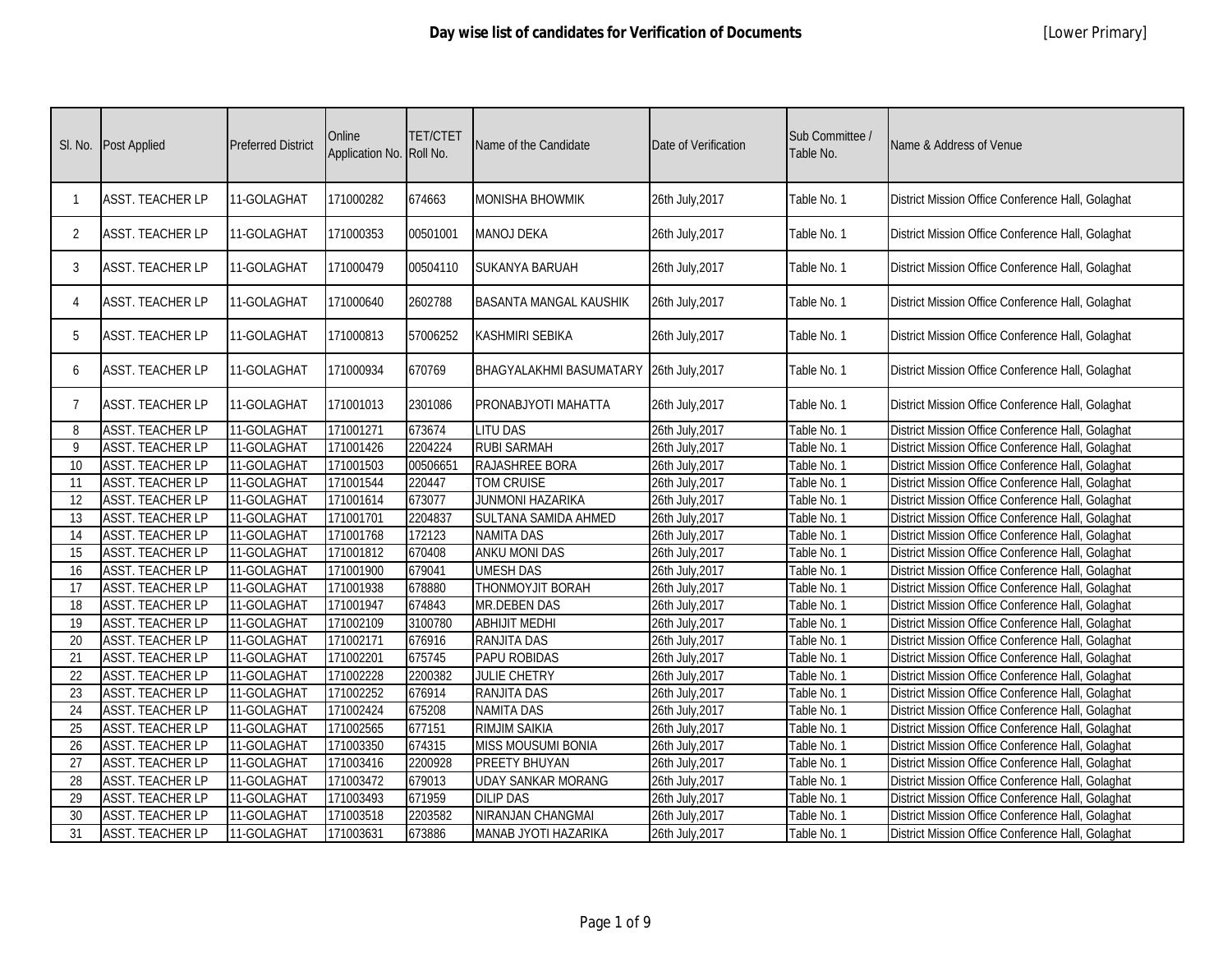| SI. No.         | Post Applied            | <b>Preferred District</b> | Online<br>Application No. Roll No. | <b>TET/CTET</b> | Name of the Candidate          | Date of Verification | Sub Committee /<br>Table No. | Name & Address of Venue                           |
|-----------------|-------------------------|---------------------------|------------------------------------|-----------------|--------------------------------|----------------------|------------------------------|---------------------------------------------------|
| -1              | <b>ASST. TEACHER LP</b> | 11-GOLAGHAT               | 171000282                          | 674663          | <b>MONISHA BHOWMIK</b>         | 26th July, 2017      | Table No. 1                  | District Mission Office Conference Hall, Golaghat |
| 2               | ASST. TEACHER LP        | 11-GOLAGHAT               | 171000353                          | 00501001        | <b>MANOJ DEKA</b>              | 26th July, 2017      | Table No. 1                  | District Mission Office Conference Hall, Golaghat |
| 3               | <b>ASST. TEACHER LP</b> | 11-GOLAGHAT               | 171000479                          | 00504110        | <b>SUKANYA BARUAH</b>          | 26th July, 2017      | Table No. 1                  | District Mission Office Conference Hall, Golaghat |
| $\overline{4}$  | <b>ASST. TEACHER LP</b> | 11-GOLAGHAT               | 171000640                          | 2602788         | <b>BASANTA MANGAL KAUSHIK</b>  | 26th July, 2017      | Table No. 1                  | District Mission Office Conference Hall, Golaghat |
| 5               | ASST. TEACHER LP        | 11-GOLAGHAT               | 171000813                          | 57006252        | KASHMIRI SEBIKA                | 26th July, 2017      | Table No. 1                  | District Mission Office Conference Hall, Golaghat |
| 6               | <b>ASST. TEACHER LP</b> | 11-GOLAGHAT               | 171000934                          | 670769          | <b>BHAGYALAKHMI BASUMATARY</b> | 26th July, 2017      | Table No. 1                  | District Mission Office Conference Hall, Golaghat |
| -7              | ASST. TEACHER LP        | 11-GOLAGHAT               | 171001013                          | 2301086         | PRONABJYOTI MAHATTA            | 26th July, 2017      | Table No. 1                  | District Mission Office Conference Hall, Golaghat |
| 8               | <b>ASST. TEACHER LP</b> | 11-GOLAGHAT               | 171001271                          | 673674          | <b>LITU DAS</b>                | 26th July, 2017      | Table No. 1                  | District Mission Office Conference Hall, Golaghat |
| $\mathsf{Q}$    | <b>ASST. TEACHER LP</b> | 11-GOLAGHAT               | 171001426                          | 2204224         | <b>RUBI SARMAH</b>             | 26th July, 2017      | Table No. 1                  | District Mission Office Conference Hall, Golaghat |
| 10              | <b>ASST. TEACHER LP</b> | 11-GOLAGHAT               | 171001503                          | 00506651        | RAJASHREE BORA                 | 26th July, 2017      | Table No. 1                  | District Mission Office Conference Hall, Golaghat |
| 11              | <b>ASST. TEACHER LP</b> | 11-GOLAGHAT               | 171001544                          | 220447          | <b>TOM CRUISE</b>              | 26th July, 2017      | Table No. 1                  | District Mission Office Conference Hall, Golaghat |
| 12              | <b>ASST. TEACHER LP</b> | 11-GOLAGHAT               | 171001614                          | 673077          | <b>JUNMONI HAZARIKA</b>        | 26th July, 2017      | Table No. 1                  | District Mission Office Conference Hall, Golaghat |
| 13              | <b>ASST. TEACHER LP</b> | 11-GOLAGHAT               | 171001701                          | 2204837         | SULTANA SAMIDA AHMED           | 26th July, 2017      | Table No. 1                  | District Mission Office Conference Hall, Golaghat |
| 14              | <b>ASST. TEACHER LP</b> | 11-GOLAGHAT               | 171001768                          | 172123          | <b>NAMITA DAS</b>              | 26th July, 2017      | Table No. 1                  | District Mission Office Conference Hall, Golaghat |
| 15              | <b>ASST. TEACHER LP</b> | 11-GOLAGHAT               | 171001812                          | 670408          | <b>ANKU MONI DAS</b>           | 26th July, 2017      | Table No. 1                  | District Mission Office Conference Hall, Golaghat |
| 16              | <b>ASST. TEACHER LP</b> | 11-GOLAGHAT               | 171001900                          | 679041          | <b>UMESH DAS</b>               | 26th July, 2017      | Table No. 1                  | District Mission Office Conference Hall, Golaghat |
| 17              | <b>ASST. TEACHER LP</b> | 11-GOLAGHAT               | 171001938                          | 678880          | THONMOYJIT BORAH               | 26th July, 2017      | Table No. 1                  | District Mission Office Conference Hall, Golaghat |
| 18              | <b>ASST. TEACHER LP</b> | 11-GOLAGHAT               | 171001947                          | 674843          | <b>MR.DEBEN DAS</b>            | 26th July, 2017      | Table No. 1                  | District Mission Office Conference Hall, Golaghat |
| 19              | <b>ASST. TEACHER LP</b> | 11-GOLAGHAT               | 171002109                          | 3100780         | <b>ABHIJIT MEDHI</b>           | 26th July, 2017      | Table No. 1                  | District Mission Office Conference Hall, Golaghat |
| 20              | <b>ASST. TEACHER LP</b> | 11-GOLAGHAT               | 171002171                          | 676916          | <b>RANJITA DAS</b>             | 26th July, 2017      | Table No. 1                  | District Mission Office Conference Hall, Golaghat |
| 21              | <b>ASST. TEACHER LP</b> | 11-GOLAGHAT               | 171002201                          | 675745          | <b>PAPU ROBIDAS</b>            | 26th July, 2017      | Table No. 1                  | District Mission Office Conference Hall, Golaghat |
| 22              | <b>ASST. TEACHER LP</b> | 11-GOLAGHAT               | 171002228                          | 2200382         | <b>JULIE CHETRY</b>            | 26th July, 2017      | Table No. 1                  | District Mission Office Conference Hall, Golaghat |
| 23              | <b>ASST. TEACHER LP</b> | 11-GOLAGHAT               | 171002252                          | 676914          | <b>RANJITA DAS</b>             | 26th July, 2017      | Table No. 1                  | District Mission Office Conference Hall, Golaghat |
| 24              | <b>ASST. TEACHER LP</b> | 11-GOLAGHAT               | 171002424                          | 675208          | <b>NAMITA DAS</b>              | 26th July, 2017      | Table No. 1                  | District Mission Office Conference Hall, Golaghat |
| 25              | <b>ASST. TEACHER LP</b> | 11-GOLAGHAT               | 171002565                          | 677151          | <b>RIMJIM SAIKIA</b>           | 26th July, 2017      | Table No. 1                  | District Mission Office Conference Hall, Golaghat |
| 26              | <b>ASST. TEACHER LP</b> | 11-GOLAGHAT               | 171003350                          | 674315          | <b>MISS MOUSUMI BONIA</b>      | 26th July, 2017      | Table No. 1                  | District Mission Office Conference Hall, Golaghat |
| $\overline{27}$ | <b>ASST. TEACHER LP</b> | 11-GOLAGHAT               | 171003416                          | 2200928         | <b>PREETY BHUYAN</b>           | 26th July, 2017      | Table No. 1                  | District Mission Office Conference Hall, Golaghat |
| 28              | <b>ASST. TEACHER LP</b> | 11-GOLAGHAT               | 171003472                          | 679013          | <b>UDAY SANKAR MORANG</b>      | 26th July, 2017      | Table No. 1                  | District Mission Office Conference Hall, Golaghat |
| 29              | <b>ASST. TEACHER LP</b> | 11-GOLAGHAT               | 171003493                          | 671959          | <b>DILIP DAS</b>               | 26th July, 2017      | Table No. 1                  | District Mission Office Conference Hall, Golaghat |
| 30              | <b>ASST. TEACHER LP</b> | 11-GOLAGHAT               | 171003518                          | 2203582         | <b>NIRANJAN CHANGMAI</b>       | 26th July, 2017      | Table No.                    | District Mission Office Conference Hall, Golaghat |
| 31              | <b>ASST. TEACHER LP</b> | 11-GOLAGHAT               | 171003631                          | 673886          | MANAB JYOTI HAZARIKA           | 26th July, 2017      | Table No. 1                  | District Mission Office Conference Hall, Golaghat |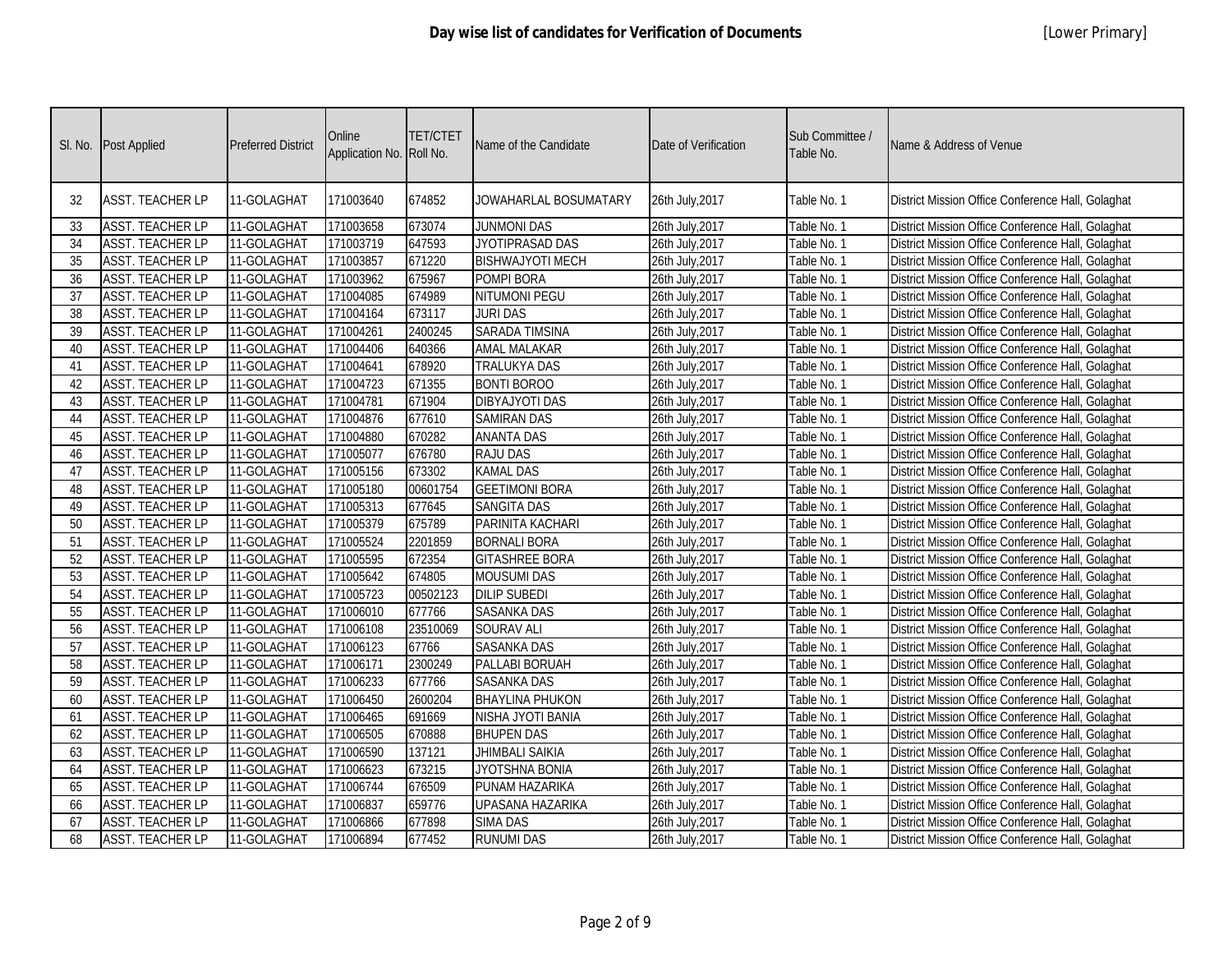| SI. No. | <b>Post Applied</b>     | Preferred District | Online<br>Application No. Roll No. | TET/CTET | Name of the Candidate   | Date of Verification | Sub Committee /<br>Table No. | Name & Address of Venue                           |
|---------|-------------------------|--------------------|------------------------------------|----------|-------------------------|----------------------|------------------------------|---------------------------------------------------|
| 32      | <b>ASST. TEACHER LP</b> | 11-GOLAGHAT        | 171003640                          | 674852   | JOWAHARLAL BOSUMATARY   | 26th July, 2017      | Table No. 1                  | District Mission Office Conference Hall, Golaghat |
| 33      | <b>ASST. TEACHER LP</b> | 11-GOLAGHAT        | 171003658                          | 673074   | <b>JUNMONI DAS</b>      | 26th July, 2017      | Table No.                    | District Mission Office Conference Hall, Golaghat |
| 34      | <b>ASST. TEACHER LP</b> | 11-GOLAGHAT        | 171003719                          | 647593   | JYOTIPRASAD DAS         | 26th July, 2017      | Table No.                    | District Mission Office Conference Hall, Golaghat |
| 35      | <b>ASST. TEACHER LP</b> | 11-GOLAGHAT        | 171003857                          | 671220   | <b>BISHWAJYOTI MECH</b> | 26th July, 2017      | Table No.                    | District Mission Office Conference Hall, Golaghat |
| 36      | <b>ASST. TEACHER LP</b> | 11-GOLAGHAT        | 171003962                          | 675967   | <b>POMPI BORA</b>       | 26th July, 2017      | Table No. 1                  | District Mission Office Conference Hall, Golaghat |
| 37      | <b>ASST. TEACHER LP</b> | 11-GOLAGHAT        | 171004085                          | 674989   | <b>NITUMONI PEGU</b>    | 26th July, 2017      | Table No. 1                  | District Mission Office Conference Hall, Golaghat |
| 38      | <b>ASST. TEACHER LP</b> | 11-GOLAGHAT        | 171004164                          | 673117   | <b>JURI DAS</b>         | 26th July, 2017      | Table No.                    | District Mission Office Conference Hall, Golaghat |
| 39      | <b>ASST. TEACHER LP</b> | 11-GOLAGHAT        | 171004261                          | 2400245  | <b>SARADA TIMSINA</b>   | 26th July, 2017      | Table No. 1                  | District Mission Office Conference Hall, Golaghat |
| 40      | <b>ASST. TEACHER LP</b> | 11-GOLAGHAT        | 171004406                          | 640366   | <b>AMAL MALAKAR</b>     | 26th July, 2017      | Table No. 1                  | District Mission Office Conference Hall, Golaghat |
| 41      | <b>ASST. TEACHER LP</b> | 11-GOLAGHAT        | 171004641                          | 678920   | <b>TRALUKYA DAS</b>     | 26th July, 2017      | Table No. 1                  | District Mission Office Conference Hall, Golaghat |
| 42      | <b>ASST. TEACHER LP</b> | 11-GOLAGHAT        | 171004723                          | 671355   | <b>BONTI BOROO</b>      | 26th July, 2017      | Table No.                    | District Mission Office Conference Hall, Golaghat |
| 43      | <b>ASST. TEACHER LP</b> | 11-GOLAGHAT        | 171004781                          | 671904   | <b>DIBYAJYOTI DAS</b>   | 26th July, 2017      | Table No. 1                  | District Mission Office Conference Hall, Golaghat |
| 44      | <b>ASST. TEACHER LP</b> | 11-GOLAGHAT        | 171004876                          | 677610   | <b>SAMIRAN DAS</b>      | 26th July, 2017      | Table No.                    | District Mission Office Conference Hall, Golaghat |
| 45      | <b>ASST. TEACHER LP</b> | 11-GOLAGHAT        | 171004880                          | 670282   | <b>ANANTA DAS</b>       | 26th July, 2017      | Table No. 1                  | District Mission Office Conference Hall, Golaghat |
| 46      | <b>ASST. TEACHER LP</b> | 11-GOLAGHAT        | 171005077                          | 676780   | <b>RAJU DAS</b>         | 26th July, 2017      | Table No. 1                  | District Mission Office Conference Hall, Golaghat |
| 47      | <b>ASST. TEACHER LP</b> | 11-GOLAGHAT        | 171005156                          | 673302   | <b>KAMAL DAS</b>        | 26th July, 2017      | Table No.                    | District Mission Office Conference Hall, Golaghat |
| 48      | <b>ASST. TEACHER LP</b> | 11-GOLAGHAT        | 171005180                          | 00601754 | <b>GEETIMONI BORA</b>   | 26th July, 2017      | Table No. 1                  | District Mission Office Conference Hall, Golaghat |
| 49      | <b>ASST. TEACHER LP</b> | 11-GOLAGHAT        | 171005313                          | 677645   | SANGITA DAS             | 26th July, 2017      | Table No. 1                  | District Mission Office Conference Hall, Golaghat |
| 50      | <b>ASST. TEACHER LP</b> | 11-GOLAGHAT        | 171005379                          | 675789   | PARINITA KACHARI        | 26th July, 2017      | Table No. 1                  | District Mission Office Conference Hall, Golaghat |
| 51      | <b>ASST. TEACHER LP</b> | 11-GOLAGHAT        | 171005524                          | 2201859  | <b>BORNALI BORA</b>     | 26th July, 2017      | Table No. 1                  | District Mission Office Conference Hall, Golaghat |
| 52      | <b>ASST. TEACHER LP</b> | 11-GOLAGHAT        | 171005595                          | 672354   | <b>GITASHREE BORA</b>   | 26th July, 2017      | Table No. 1                  | District Mission Office Conference Hall, Golaghat |
| 53      | <b>ASST. TEACHER LP</b> | 11-GOLAGHAT        | 171005642                          | 674805   | <b>MOUSUMI DAS</b>      | 26th July, 2017      | Table No. 1                  | District Mission Office Conference Hall, Golaghat |
| 54      | <b>ASST. TEACHER LP</b> | 11-GOLAGHAT        | 171005723                          | 00502123 | <b>DILIP SUBEDI</b>     | 26th July, 2017      | Table No.                    | District Mission Office Conference Hall, Golaghat |
| 55      | <b>ASST. TEACHER LP</b> | 11-GOLAGHAT        | 171006010                          | 677766   | <b>SASANKA DAS</b>      | 26th July, 2017      | Table No. 1                  | District Mission Office Conference Hall, Golaghat |
| 56      | <b>ASST. TEACHER LP</b> | 11-GOLAGHAT        | 171006108                          | 23510069 | <b>SOURAV ALI</b>       | 26th July, 2017      | Table No. 1                  | District Mission Office Conference Hall, Golaghat |
| 57      | <b>ASST. TEACHER LP</b> | 11-GOLAGHAT        | 171006123                          | 67766    | <b>SASANKA DAS</b>      | 26th July, 2017      | Table No. 1                  | District Mission Office Conference Hall, Golaghat |
| 58      | <b>ASST. TEACHER LP</b> | 11-GOLAGHAT        | 171006171                          | 2300249  | PALLABI BORUAH          | 26th July, 2017      | Table No. 1                  | District Mission Office Conference Hall, Golaghat |
| 59      | <b>ASST. TEACHER LP</b> | 11-GOLAGHAT        | 171006233                          | 677766   | <b>SASANKA DAS</b>      | 26th July, 2017      | Table No. 1                  | District Mission Office Conference Hall, Golaghat |
| 60      | <b>ASST. TEACHER LP</b> | 11-GOLAGHAT        | 171006450                          | 2600204  | <b>BHAYLINA PHUKON</b>  | 26th July, 2017      | Table No. 1                  | District Mission Office Conference Hall, Golaghat |
| 61      | <b>ASST. TEACHER LP</b> | 11-GOLAGHAT        | 171006465                          | 691669   | NISHA JYOTI BANIA       | 26th July, 2017      | Table No. 1                  | District Mission Office Conference Hall, Golaghat |
| 62      | <b>ASST. TEACHER LP</b> | 11-GOLAGHAT        | 171006505                          | 670888   | <b>BHUPEN DAS</b>       | 26th July, 2017      | Table No. 1                  | District Mission Office Conference Hall, Golaghat |
| 63      | <b>ASST. TEACHER LP</b> | 11-GOLAGHAT        | 171006590                          | 137121   | <b>JHIMBALI SAIKIA</b>  | 26th July, 2017      | Table No. 1                  | District Mission Office Conference Hall, Golaghat |
| 64      | <b>ASST. TEACHER LP</b> | 11-GOLAGHAT        | 171006623                          | 673215   | <b>JYOTSHNA BONIA</b>   | 26th July, 2017      | Table No. 1                  | District Mission Office Conference Hall, Golaghat |
| 65      | <b>ASST. TEACHER LP</b> | 11-GOLAGHAT        | 171006744                          | 676509   | PUNAM HAZARIKA          | 26th July, 2017      | Table No. 1                  | District Mission Office Conference Hall, Golaghat |
| 66      | <b>ASST. TEACHER LP</b> | 11-GOLAGHAT        | 171006837                          | 659776   | <b>UPASANA HAZARIKA</b> | 26th July, 2017      | Table No. 1                  | District Mission Office Conference Hall, Golaghat |
| 67      | <b>ASST. TEACHER LP</b> | 11-GOLAGHAT        | 171006866                          | 677898   | <b>SIMA DAS</b>         | 26th July, 2017      | Table No. 1                  | District Mission Office Conference Hall, Golaghat |
| 68      | <b>ASST. TEACHER LP</b> | 11-GOLAGHAT        | 171006894                          | 677452   | <b>RUNUMI DAS</b>       | 26th July, 2017      | Table No. 1                  | District Mission Office Conference Hall, Golaghat |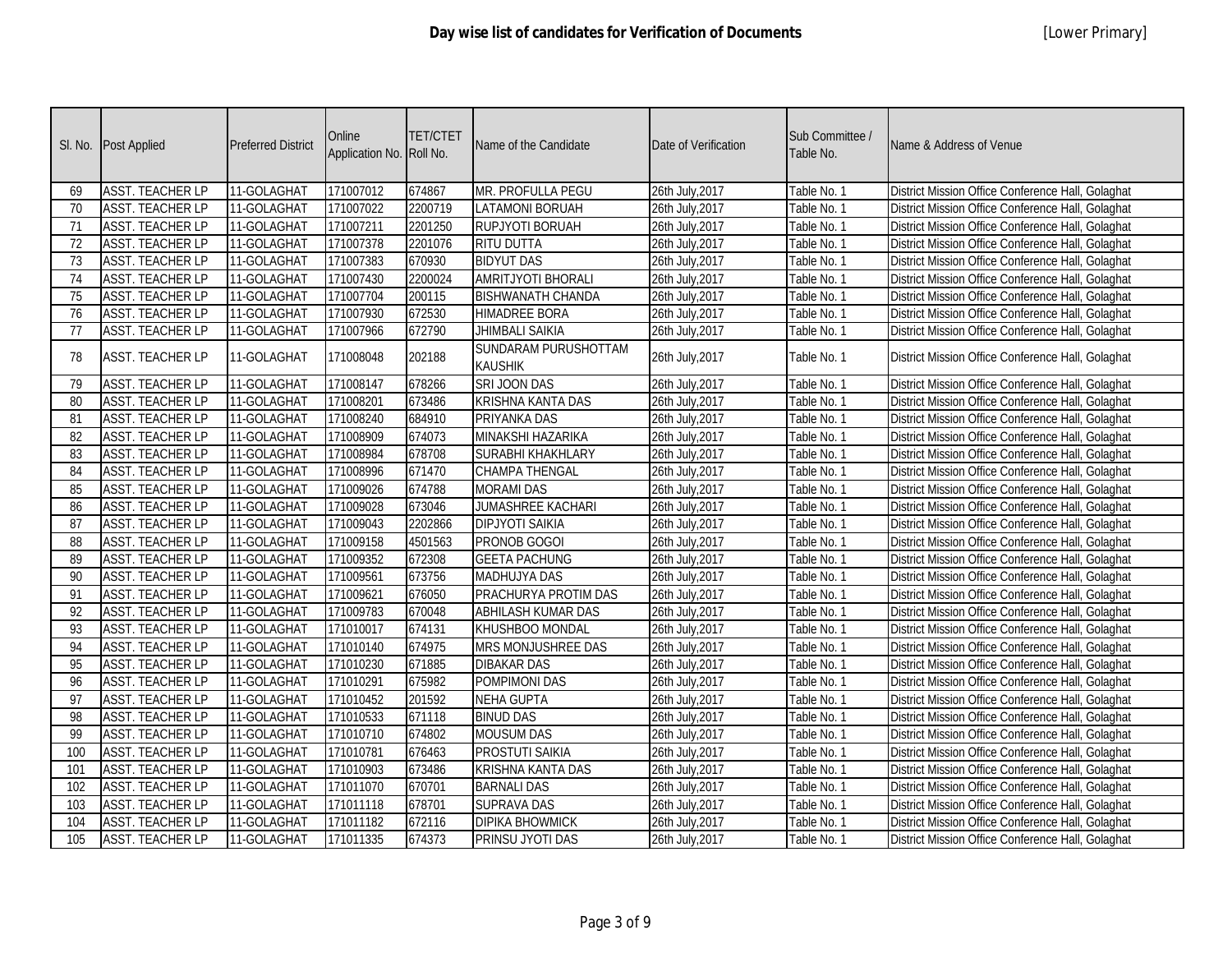| SI. No. | Post Applied            | <b>Preferred District</b> | Online<br>Application No. Roll No. | <b>TET/CTET</b> | Name of the Candidate                  | Date of Verification | Sub Committee /<br>Table No. | Name & Address of Venue                           |
|---------|-------------------------|---------------------------|------------------------------------|-----------------|----------------------------------------|----------------------|------------------------------|---------------------------------------------------|
| 69      | <b>ASST. TEACHER LP</b> | 11-GOLAGHAT               | 171007012                          | 674867          | MR. PROFULLA PEGU                      | 26th July, 2017      | Table No. 1                  | District Mission Office Conference Hall, Golaghat |
| 70      | <b>ASST. TEACHER LP</b> | 11-GOLAGHAT               | 171007022                          | 2200719         | <b>LATAMONI BORUAH</b>                 | 26th July, 2017      | Table No.                    | District Mission Office Conference Hall, Golaghat |
| 71      | <b>ASST. TEACHER LP</b> | 11-GOLAGHAT               | 171007211                          | 2201250         | <b>RUPJYOTI BORUAH</b>                 | 26th July, 2017      | Table No. 1                  | District Mission Office Conference Hall, Golaghat |
| 72      | <b>ASST. TEACHER LP</b> | 11-GOLAGHAT               | 171007378                          | 2201076         | RITU DUTTA                             | 26th July, 2017      | Table No.                    | District Mission Office Conference Hall, Golaghat |
| 73      | <b>ASST. TEACHER LP</b> | 11-GOLAGHAT               | 171007383                          | 670930          | <b>BIDYUT DAS</b>                      | 26th July, 2017      | Table No. 1                  | District Mission Office Conference Hall, Golaghat |
| 74      | <b>ASST. TEACHER LP</b> | 11-GOLAGHAT               | 171007430                          | 2200024         | <b>AMRITJYOTI BHORALI</b>              | 26th July, 2017      | Table No.                    | District Mission Office Conference Hall, Golaghat |
| 75      | <b>ASST. TEACHER LP</b> | 11-GOLAGHAT               | 171007704                          | 200115          | <b>BISHWANATH CHANDA</b>               | 26th July, 2017      | Table No. 1                  | District Mission Office Conference Hall, Golaghat |
| 76      | <b>ASST. TEACHER LP</b> | 11-GOLAGHAT               | 171007930                          | 672530          | <b>HIMADREE BORA</b>                   | 26th July, 2017      | Table No.                    | District Mission Office Conference Hall, Golaghat |
| 77      | <b>ASST. TEACHER LP</b> | 11-GOLAGHAT               | 171007966                          | 672790          | <b>JHIMBALI SAIKIA</b>                 | 26th July, 2017      | Table No. 1                  | District Mission Office Conference Hall, Golaghat |
| 78      | <b>ASST. TEACHER LP</b> | 11-GOLAGHAT               | 171008048                          | 202188          | SUNDARAM PURUSHOTTAM<br><b>KAUSHIK</b> | 26th July, 2017      | Table No. 1                  | District Mission Office Conference Hall, Golaghat |
| 79      | <b>ASST. TEACHER LP</b> | 11-GOLAGHAT               | 171008147                          | 678266          | SRI JOON DAS                           | 26th July, 2017      | Table No. 1                  | District Mission Office Conference Hall, Golaghat |
| 80      | <b>ASST. TEACHER LP</b> | 11-GOLAGHAT               | 171008201                          | 673486          | <b>KRISHNA KANTA DAS</b>               | 26th July, 2017      | Table No. 1                  | District Mission Office Conference Hall, Golaghat |
| 81      | <b>ASST. TEACHER LP</b> | 11-GOLAGHAT               | 171008240                          | 684910          | PRIYANKA DAS                           | 26th July, 2017      | Table No.                    | District Mission Office Conference Hall, Golaghat |
| 82      | <b>ASST. TEACHER LP</b> | 11-GOLAGHAT               | 171008909                          | 674073          | MINAKSHI HAZARIKA                      | 26th July, 2017      | Table No. 1                  | District Mission Office Conference Hall, Golaghat |
| 83      | <b>ASST. TEACHER LP</b> | 11-GOLAGHAT               | 171008984                          | 678708          | <b>SURABHI KHAKHLARY</b>               | 26th July, 2017      | Table No.                    | District Mission Office Conference Hall, Golaghat |
| 84      | <b>ASST. TEACHER LP</b> | 11-GOLAGHAT               | 171008996                          | 671470          | <b>CHAMPA THENGAL</b>                  | 26th July, 2017      | Table No.                    | District Mission Office Conference Hall, Golaghat |
| 85      | <b>ASST. TEACHER LP</b> | 11-GOLAGHAT               | 171009026                          | 674788          | <b>MORAMI DAS</b>                      | 26th July, 2017      | Table No.                    | District Mission Office Conference Hall, Golaghat |
| 86      | <b>ASST. TEACHER LP</b> | 11-GOLAGHAT               | 171009028                          | 673046          | <b>JUMASHREE KACHARI</b>               | 26th July, 2017      | Table No.                    | District Mission Office Conference Hall, Golaghat |
| 87      | <b>ASST. TEACHER LP</b> | 11-GOLAGHAT               | 171009043                          | 2202866         | <b>DIPJYOTI SAIKIA</b>                 | 26th July, 2017      | Table No.                    | District Mission Office Conference Hall, Golaghat |
| 88      | <b>ASST. TEACHER LP</b> | 11-GOLAGHAT               | 171009158                          | 4501563         | PRONOB GOGOI                           | 26th July, 2017      | Table No.                    | District Mission Office Conference Hall, Golaghat |
| 89      | <b>ASST. TEACHER LP</b> | 11-GOLAGHAT               | 171009352                          | 672308          | <b>GEETA PACHUNG</b>                   | 26th July, 2017      | Table No. 1                  | District Mission Office Conference Hall, Golaghat |
| 90      | <b>ASST. TEACHER LP</b> | 11-GOLAGHAT               | 171009561                          | 673756          | <b>MADHUJYA DAS</b>                    | 26th July, 2017      | Table No. 1                  | District Mission Office Conference Hall, Golaghat |
| 91      | <b>ASST. TEACHER LP</b> | 11-GOLAGHAT               | 171009621                          | 676050          | PRACHURYA PROTIM DAS                   | 26th July, 2017      | Table No. 1                  | District Mission Office Conference Hall, Golaghat |
| 92      | <b>ASST. TEACHER LP</b> | 11-GOLAGHAT               | 171009783                          | 670048          | <b>ABHILASH KUMAR DAS</b>              | 26th July, 2017      | Table No. 1                  | District Mission Office Conference Hall, Golaghat |
| 93      | <b>ASST. TEACHER LP</b> | 11-GOLAGHAT               | 171010017                          | 674131          | KHUSHBOO MONDAL                        | 26th July, 2017      | Table No. 1                  | District Mission Office Conference Hall, Golaghat |
| 94      | <b>ASST. TEACHER LP</b> | 11-GOLAGHAT               | 171010140                          | 674975          | <b>MRS MONJUSHREE DAS</b>              | 26th July, 2017      | Table No. 1                  | District Mission Office Conference Hall, Golaghat |
| 95      | <b>ASST. TEACHER LP</b> | 11-GOLAGHAT               | 171010230                          | 671885          | <b>DIBAKAR DAS</b>                     | 26th July, 2017      | Table No. 1                  | District Mission Office Conference Hall, Golaghat |
| 96      | <b>ASST. TEACHER LP</b> | 11-GOLAGHAT               | 171010291                          | 675982          | POMPIMONI DAS                          | 26th July, 2017      | Table No. 1                  | District Mission Office Conference Hall, Golaghat |
| 97      | <b>ASST. TEACHER LP</b> | 11-GOLAGHAT               | 171010452                          | 201592          | <b>NEHA GUPTA</b>                      | 26th July, 2017      | Table No. 1                  | District Mission Office Conference Hall, Golaghat |
| 98      | <b>ASST. TEACHER LP</b> | 11-GOLAGHAT               | 171010533                          | 671118          | <b>BINUD DAS</b>                       | 26th July, 2017      | Table No. 1                  | District Mission Office Conference Hall, Golaghat |
| 99      | <b>ASST. TEACHER LP</b> | 11-GOLAGHAT               | 171010710                          | 674802          | <b>MOUSUM DAS</b>                      | 26th July, 2017      | Table No.                    | District Mission Office Conference Hall, Golaghat |
| 100     | <b>ASST. TEACHER LP</b> | 11-GOLAGHAT               | 171010781                          | 676463          | PROSTUTI SAIKIA                        | 26th July, 2017      | Table No. 1                  | District Mission Office Conference Hall, Golaghat |
| 101     | <b>ASST. TEACHER LP</b> | 11-GOLAGHAT               | 171010903                          | 673486          | <b>KRISHNA KANTA DAS</b>               | 26th July, 2017      | Table No. 1                  | District Mission Office Conference Hall, Golaghat |
| 102     | <b>ASST. TEACHER LP</b> | 11-GOLAGHAT               | 171011070                          | 670701          | <b>BARNALI DAS</b>                     | 26th July, 2017      | Table No. 1                  | District Mission Office Conference Hall, Golaghat |
| 103     | <b>ASST. TEACHER LP</b> | 11-GOLAGHAT               | 171011118                          | 678701          | <b>SUPRAVA DAS</b>                     | 26th July, 2017      | Table No. 1                  | District Mission Office Conference Hall, Golaghat |
| 104     | <b>ASST. TEACHER LP</b> | 11-GOLAGHAT               | 171011182                          | 672116          | <b>DIPIKA BHOWMICK</b>                 | 26th July, 2017      | Table No. 1                  | District Mission Office Conference Hall, Golaghat |
| 105     | <b>ASST. TEACHER LP</b> | 11-GOLAGHAT               | 171011335                          | 674373          | PRINSU JYOTI DAS                       | 26th July, 2017      | Table No. 1                  | District Mission Office Conference Hall, Golaghat |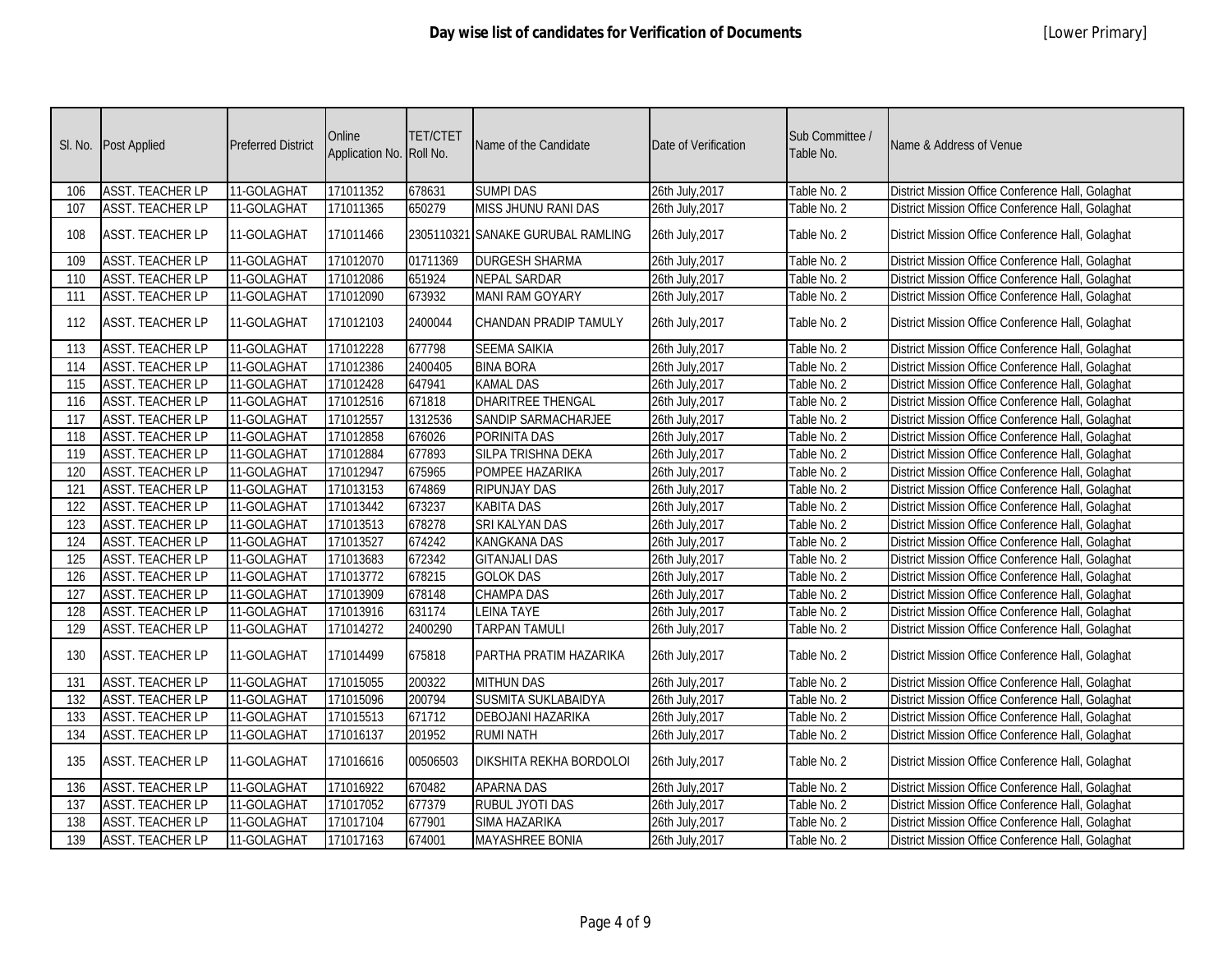| SI. No. | <b>Post Applied</b>     | <b>Preferred District</b> | Online<br>Application No. Roll No. | TET/CTET | Name of the Candidate             | Date of Verification | Sub Committee /<br>Table No. | Name & Address of Venue                           |
|---------|-------------------------|---------------------------|------------------------------------|----------|-----------------------------------|----------------------|------------------------------|---------------------------------------------------|
| 106     | <b>ASST. TEACHER LP</b> | 11-GOLAGHAT               | 171011352                          | 678631   | <b>SUMPI DAS</b>                  | 26th July, 2017      | Table No. 2                  | District Mission Office Conference Hall, Golaghat |
| 107     | <b>ASST. TEACHER LP</b> | 11-GOLAGHAT               | 171011365                          | 650279   | <b>MISS JHUNU RANI DAS</b>        | 26th July, 2017      | Table No. 2                  | District Mission Office Conference Hall, Golaghat |
| 108     | <b>ASST. TEACHER LP</b> | 11-GOLAGHAT               | 171011466                          |          | 2305110321 SANAKE GURUBAL RAMLING | 26th July, 2017      | Table No. 2                  | District Mission Office Conference Hall, Golaghat |
| 109     | <b>ASST. TEACHER LP</b> | 11-GOLAGHAT               | 171012070                          | 01711369 | <b>DURGESH SHARMA</b>             | 26th July, 2017      | Table No. 2                  | District Mission Office Conference Hall, Golaghat |
| 110     | <b>ASST. TEACHER LP</b> | 11-GOLAGHAT               | 171012086                          | 651924   | <b>NEPAL SARDAR</b>               | 26th July, 2017      | Table No. 2                  | District Mission Office Conference Hall, Golaghat |
| 111     | <b>ASST. TEACHER LP</b> | 11-GOLAGHAT               | 171012090                          | 673932   | MANI RAM GOYARY                   | 26th July, 2017      | Table No. 2                  | District Mission Office Conference Hall, Golaghat |
| 112     | <b>ASST. TEACHER LP</b> | 11-GOLAGHAT               | 171012103                          | 2400044  | <b>CHANDAN PRADIP TAMULY</b>      | 26th July, 2017      | Table No. 2                  | District Mission Office Conference Hall, Golaghat |
| 113     | <b>ASST. TEACHER LP</b> | 11-GOLAGHAT               | 171012228                          | 677798   | <b>SEEMA SAIKIA</b>               | 26th July, 2017      | Table No. 2                  | District Mission Office Conference Hall, Golaghat |
| 114     | <b>ASST. TEACHER LP</b> | 11-GOLAGHAT               | 171012386                          | 2400405  | <b>BINA BORA</b>                  | 26th July, 2017      | Table No. 2                  | District Mission Office Conference Hall, Golaghat |
| 115     | <b>ASST. TEACHER LP</b> | 11-GOLAGHAT               | 171012428                          | 647941   | <b>KAMAL DAS</b>                  | 26th July, 2017      | Table No. 2                  | District Mission Office Conference Hall, Golaghat |
| 116     | <b>ASST. TEACHER LP</b> | 11-GOLAGHAT               | 171012516                          | 671818   | <b>DHARITREE THENGAL</b>          | 26th July, 2017      | Table No. 2                  | District Mission Office Conference Hall, Golaghat |
| 117     | <b>ASST. TEACHER LP</b> | 11-GOLAGHAT               | 171012557                          | 1312536  | SANDIP SARMACHARJEE               | 26th July, 2017      | Table No. 2                  | District Mission Office Conference Hall, Golaghat |
| 118     | <b>ASST. TEACHER LP</b> | 11-GOLAGHAT               | 171012858                          | 676026   | PORINITA DAS                      | 26th July, 2017      | Table No. 2                  | District Mission Office Conference Hall, Golaghat |
| 119     | <b>ASST. TEACHER LP</b> | 11-GOLAGHAT               | 171012884                          | 677893   | SILPA TRISHNA DEKA                | 26th July, 2017      | Table No. 2                  | District Mission Office Conference Hall, Golaghat |
| 120     | <b>ASST. TEACHER LP</b> | 11-GOLAGHAT               | 171012947                          | 675965   | POMPEE HAZARIKA                   | 26th July, 2017      | Table No. 2                  | District Mission Office Conference Hall, Golaghat |
| 121     | <b>ASST. TEACHER LP</b> | 11-GOLAGHAT               | 171013153                          | 674869   | <b>RIPUNJAY DAS</b>               | 26th July, 2017      | Table No. 2                  | District Mission Office Conference Hall, Golaghat |
| 122     | <b>ASST. TEACHER LP</b> | 11-GOLAGHAT               | 171013442                          | 673237   | <b>KABITA DAS</b>                 | 26th July, 2017      | Table No. 2                  | District Mission Office Conference Hall, Golaghat |
| 123     | <b>ASST. TEACHER LP</b> | 11-GOLAGHAT               | 171013513                          | 678278   | <b>SRI KALYAN DAS</b>             | 26th July, 2017      | Table No. 2                  | District Mission Office Conference Hall, Golaghat |
| 124     | <b>ASST. TEACHER LP</b> | 11-GOLAGHAT               | 171013527                          | 674242   | <b>KANGKANA DAS</b>               | 26th July, 2017      | Table No. 2                  | District Mission Office Conference Hall, Golaghat |
| 125     | <b>ASST. TEACHER LP</b> | 11-GOLAGHAT               | 171013683                          | 672342   | <b>GITANJALI DAS</b>              | 26th July, 2017      | Table No. 2                  | District Mission Office Conference Hall, Golaghat |
| 126     | <b>ASST. TEACHER LP</b> | 11-GOLAGHAT               | 171013772                          | 678215   | <b>GOLOK DAS</b>                  | 26th July, 2017      | Table No. 2                  | District Mission Office Conference Hall, Golaghat |
| 127     | <b>ASST. TEACHER LP</b> | 11-GOLAGHAT               | 171013909                          | 678148   | <b>CHAMPA DAS</b>                 | 26th July, 2017      | Table No. 2                  | District Mission Office Conference Hall, Golaghat |
| 128     | <b>ASST. TEACHER LP</b> | 11-GOLAGHAT               | 171013916                          | 631174   | <b>LEINA TAYE</b>                 | 26th July, 2017      | Table No. 2                  | District Mission Office Conference Hall, Golaghat |
| 129     | <b>ASST. TEACHER LP</b> | 11-GOLAGHAT               | 171014272                          | 2400290  | <b>TARPAN TAMULI</b>              | 26th July, 2017      | Table No. 2                  | District Mission Office Conference Hall, Golaghat |
| 130     | <b>ASST. TEACHER LP</b> | 11-GOLAGHAT               | 171014499                          | 675818   | PARTHA PRATIM HAZARIKA            | 26th July, 2017      | Table No. 2                  | District Mission Office Conference Hall, Golaghat |
| 131     | <b>ASST. TEACHER LP</b> | 11-GOLAGHAT               | 171015055                          | 200322   | <b>MITHUN DAS</b>                 | 26th July, 2017      | Table No. 2                  | District Mission Office Conference Hall, Golaghat |
| 132     | <b>ASST. TEACHER LP</b> | 11-GOLAGHAT               | 171015096                          | 200794   | SUSMITA SUKLABAIDYA               | 26th July, 2017      | Table No. 2                  | District Mission Office Conference Hall, Golaghat |
| 133     | <b>ASST. TEACHER LP</b> | 11-GOLAGHAT               | 171015513                          | 671712   | <b>DEBOJANI HAZARIKA</b>          | 26th July, 2017      | Table No. 2                  | District Mission Office Conference Hall, Golaghat |
| 134     | <b>ASST. TEACHER LP</b> | 11-GOLAGHAT               | 171016137                          | 201952   | <b>RUMI NATH</b>                  | 26th July, 2017      | Table No. 2                  | District Mission Office Conference Hall, Golaghat |
| 135     | <b>ASST. TEACHER LP</b> | 11-GOLAGHAT               | 171016616                          | 00506503 | DIKSHITA REKHA BORDOLOI           | 26th July, 2017      | Table No. 2                  | District Mission Office Conference Hall, Golaghat |
| 136     | <b>ASST. TEACHER LP</b> | 11-GOLAGHAT               | 171016922                          | 670482   | <b>APARNA DAS</b>                 | 26th July, 2017      | Table No. 2                  | District Mission Office Conference Hall, Golaghat |
| 137     | <b>ASST. TEACHER LP</b> | 11-GOLAGHAT               | 171017052                          | 677379   | RUBUL JYOTI DAS                   | 26th July, 2017      | Table No. 2                  | District Mission Office Conference Hall, Golaghat |
| 138     | <b>ASST. TEACHER LP</b> | 11-GOLAGHAT               | 171017104                          | 677901   | <b>SIMA HAZARIKA</b>              | 26th July, 2017      | Table No. 2                  | District Mission Office Conference Hall, Golaghat |
| 139     | <b>ASST. TEACHER LP</b> | 11-GOLAGHAT               | 171017163                          | 674001   | <b>MAYASHREE BONIA</b>            | 26th July, 2017      | Table No. 2                  | District Mission Office Conference Hall, Golaghat |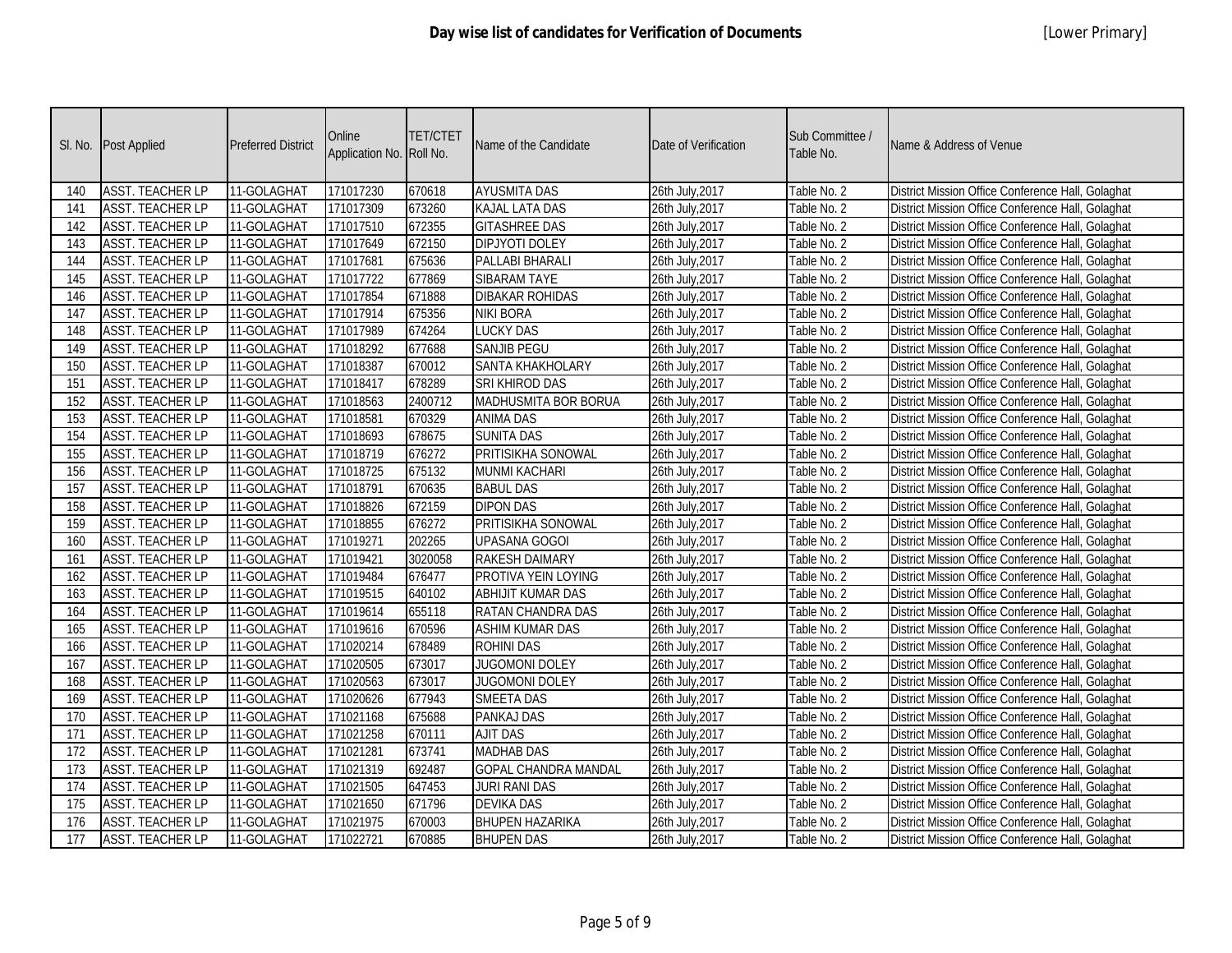| SI. No. | <b>Post Applied</b>     | <b>Preferred District</b> | Online<br>Application No. Roll No. | <b>TET/CTET</b> | Name of the Candidate       | Date of Verification | Sub Committee /<br>Table No. | Name & Address of Venue                           |
|---------|-------------------------|---------------------------|------------------------------------|-----------------|-----------------------------|----------------------|------------------------------|---------------------------------------------------|
| 140     | <b>ASST. TEACHER LP</b> | 11-GOLAGHAT               | 171017230                          | 670618          | <b>AYUSMITA DAS</b>         | 26th July, 2017      | Table No. 2                  | District Mission Office Conference Hall, Golaghat |
| 141     | <b>ASST. TEACHER LP</b> | 11-GOLAGHAT               | 171017309                          | 673260          | <b>KAJAL LATA DAS</b>       | 26th July, 2017      | Table No. 2                  | District Mission Office Conference Hall, Golaghat |
| 142     | <b>ASST. TEACHER LP</b> | 11-GOLAGHAT               | 171017510                          | 672355          | <b>GITASHREE DAS</b>        | 26th July, 2017      | Table No. 2                  | District Mission Office Conference Hall, Golaghat |
| 143     | <b>ASST. TEACHER LP</b> | 11-GOLAGHAT               | 171017649                          | 672150          | <b>DIPJYOTI DOLEY</b>       | 26th July, 2017      | Table No. 2                  | District Mission Office Conference Hall, Golaghat |
| 144     | <b>ASST. TEACHER LP</b> | 11-GOLAGHAT               | 171017681                          | 675636          | PALLABI BHARALI             | 26th July, 2017      | Table No. 2                  | District Mission Office Conference Hall, Golaghat |
| 145     | <b>ASST. TEACHER LP</b> | 11-GOLAGHAT               | 171017722                          | 677869          | SIBARAM TAYE                | 26th July, 2017      | Table No. 2                  | District Mission Office Conference Hall, Golaghat |
| 146     | <b>ASST. TEACHER LP</b> | 11-GOLAGHAT               | 171017854                          | 671888          | <b>DIBAKAR ROHIDAS</b>      | 26th July, 2017      | Table No. 2                  | District Mission Office Conference Hall, Golaghat |
| 147     | <b>ASST. TEACHER LP</b> | 11-GOLAGHAT               | 171017914                          | 675356          | <b>NIKI BORA</b>            | 26th July, 2017      | Table No. 2                  | District Mission Office Conference Hall, Golaghat |
| 148     | <b>ASST. TEACHER LP</b> | 11-GOLAGHAT               | 171017989                          | 674264          | <b>LUCKY DAS</b>            | 26th July, 2017      | Table No. 2                  | District Mission Office Conference Hall, Golaghat |
| 149     | <b>ASST. TEACHER LP</b> | 11-GOLAGHAT               | 171018292                          | 677688          | <b>SANJIB PEGU</b>          | 26th July, 2017      | Table No. 2                  | District Mission Office Conference Hall, Golaghat |
| 150     | <b>ASST. TEACHER LP</b> | 11-GOLAGHAT               | 171018387                          | 670012          | <b>SANTA KHAKHOLARY</b>     | 26th July, 2017      | Table No. 2                  | District Mission Office Conference Hall, Golaghat |
| 151     | <b>ASST. TEACHER LP</b> | 11-GOLAGHAT               | 171018417                          | 678289          | SRI KHIROD DAS              | 26th July, 2017      | Table No. 2                  | District Mission Office Conference Hall, Golaghat |
| 152     | <b>ASST. TEACHER LP</b> | 11-GOLAGHAT               | 171018563                          | 2400712         | <b>MADHUSMITA BOR BORUA</b> | 26th July, 2017      | Table No. 2                  | District Mission Office Conference Hall, Golaghat |
| 153     | <b>ASST. TEACHER LP</b> | 11-GOLAGHAT               | 171018581                          | 670329          | <b>ANIMA DAS</b>            | 26th July, 2017      | Table No. 2                  | District Mission Office Conference Hall, Golaghat |
| 154     | <b>ASST. TEACHER LP</b> | 11-GOLAGHAT               | 171018693                          | 678675          | <b>SUNITA DAS</b>           | 26th July, 2017      | Table No. 2                  | District Mission Office Conference Hall, Golaghat |
| 155     | <b>ASST. TEACHER LP</b> | 11-GOLAGHAT               | 171018719                          | 676272          | PRITISIKHA SONOWAL          | 26th July, 2017      | Table No. 2                  | District Mission Office Conference Hall, Golaghat |
| 156     | <b>ASST. TEACHER LP</b> | 11-GOLAGHAT               | 171018725                          | 675132          | <b>MUNMI KACHARI</b>        | 26th July, 2017      | Table No. 2                  | District Mission Office Conference Hall, Golaghat |
| 157     | <b>ASST. TEACHER LP</b> | 11-GOLAGHAT               | 171018791                          | 670635          | <b>BABUL DAS</b>            | 26th July, 2017      | Table No. 2                  | District Mission Office Conference Hall, Golaghat |
| 158     | <b>ASST. TEACHER LP</b> | 11-GOLAGHAT               | 171018826                          | 672159          | <b>DIPON DAS</b>            | 26th July, 2017      | Table No. 2                  | District Mission Office Conference Hall, Golaghat |
| 159     | <b>ASST. TEACHER LP</b> | 11-GOLAGHAT               | 171018855                          | 676272          | PRITISIKHA SONOWAL          | 26th July, 2017      | Table No. 2                  | District Mission Office Conference Hall, Golaghat |
| 160     | <b>ASST. TEACHER LP</b> | 11-GOLAGHAT               | 171019271                          | 202265          | <b>UPASANA GOGOI</b>        | 26th July, 2017      | Table No. 2                  | District Mission Office Conference Hall, Golaghat |
| 161     | <b>ASST. TEACHER LP</b> | 11-GOLAGHAT               | 171019421                          | 3020058         | <b>RAKESH DAIMARY</b>       | 26th July, 2017      | Table No. 2                  | District Mission Office Conference Hall, Golaghat |
| 162     | <b>ASST. TEACHER LP</b> | 11-GOLAGHAT               | 171019484                          | 676477          | PROTIVA YEIN LOYING         | 26th July, 2017      | Table No. 2                  | District Mission Office Conference Hall, Golaghat |
| 163     | <b>ASST. TEACHER LP</b> | 11-GOLAGHAT               | 171019515                          | 640102          | <b>ABHIJIT KUMAR DAS</b>    | 26th July, 2017      | Table No. 2                  | District Mission Office Conference Hall, Golaghat |
| 164     | <b>ASST. TEACHER LP</b> | 11-GOLAGHAT               | 171019614                          | 655118          | <b>RATAN CHANDRA DAS</b>    | 26th July, 2017      | Table No. 2                  | District Mission Office Conference Hall, Golaghat |
| 165     | <b>ASST. TEACHER LP</b> | 11-GOLAGHAT               | 171019616                          | 670596          | <b>ASHIM KUMAR DAS</b>      | 26th July, 2017      | Table No. 2                  | District Mission Office Conference Hall, Golaghat |
| 166     | <b>ASST. TEACHER LP</b> | 11-GOLAGHAT               | 171020214                          | 678489          | <b>ROHINI DAS</b>           | 26th July, 2017      | Table No. 2                  | District Mission Office Conference Hall, Golaghat |
| 167     | <b>ASST. TEACHER LP</b> | 11-GOLAGHAT               | 171020505                          | 673017          | <b>JUGOMONI DOLEY</b>       | 26th July, 2017      | Table No. 2                  | District Mission Office Conference Hall, Golaghat |
| 168     | <b>ASST. TEACHER LP</b> | 11-GOLAGHAT               | 171020563                          | 673017          | <b>JUGOMONI DOLEY</b>       | 26th July, 2017      | Table No. 2                  | District Mission Office Conference Hall, Golaghat |
| 169     | <b>ASST. TEACHER LP</b> | 11-GOLAGHAT               | 171020626                          | 677943          | <b>SMEETA DAS</b>           | 26th July, 2017      | Table No. 2                  | District Mission Office Conference Hall, Golaghat |
| 170     | <b>ASST. TEACHER LP</b> | 11-GOLAGHAT               | 171021168                          | 675688          | <b>PANKAJ DAS</b>           | 26th July, 2017      | Table No. 2                  | District Mission Office Conference Hall, Golaghat |
| 171     | <b>ASST. TEACHER LP</b> | 11-GOLAGHAT               | 171021258                          | 670111          | <b>AJIT DAS</b>             | 26th July, 2017      | Table No. 2                  | District Mission Office Conference Hall, Golaghat |
| 172     | <b>ASST. TEACHER LP</b> | 11-GOLAGHAT               | 171021281                          | 673741          | <b>MADHAB DAS</b>           | 26th July, 2017      | Table No. 2                  | District Mission Office Conference Hall, Golaghat |
| 173     | <b>ASST. TEACHER LP</b> | 11-GOLAGHAT               | 171021319                          | 692487          | <b>GOPAL CHANDRA MANDAL</b> | 26th July, 2017      | Table No. 2                  | District Mission Office Conference Hall, Golaghat |
| 174     | <b>ASST. TEACHER LP</b> | 11-GOLAGHAT               | 171021505                          | 647453          | <b>JURI RANI DAS</b>        | 26th July, 2017      | Table No. 2                  | District Mission Office Conference Hall, Golaghat |
| 175     | <b>ASST. TEACHER LP</b> | 11-GOLAGHAT               | 171021650                          | 671796          | <b>DEVIKA DAS</b>           | 26th July, 2017      | Table No. 2                  | District Mission Office Conference Hall, Golaghat |
| 176     | <b>ASST. TEACHER LP</b> | 11-GOLAGHAT               | 171021975                          | 670003          | <b>BHUPEN HAZARIKA</b>      | 26th July, 2017      | Table No. 2                  | District Mission Office Conference Hall, Golaghat |
| 177     | <b>ASST. TEACHER LP</b> | 11-GOLAGHAT               | 171022721                          | 670885          | <b>BHUPEN DAS</b>           | 26th July, 2017      | Table No. 2                  | District Mission Office Conference Hall, Golaghat |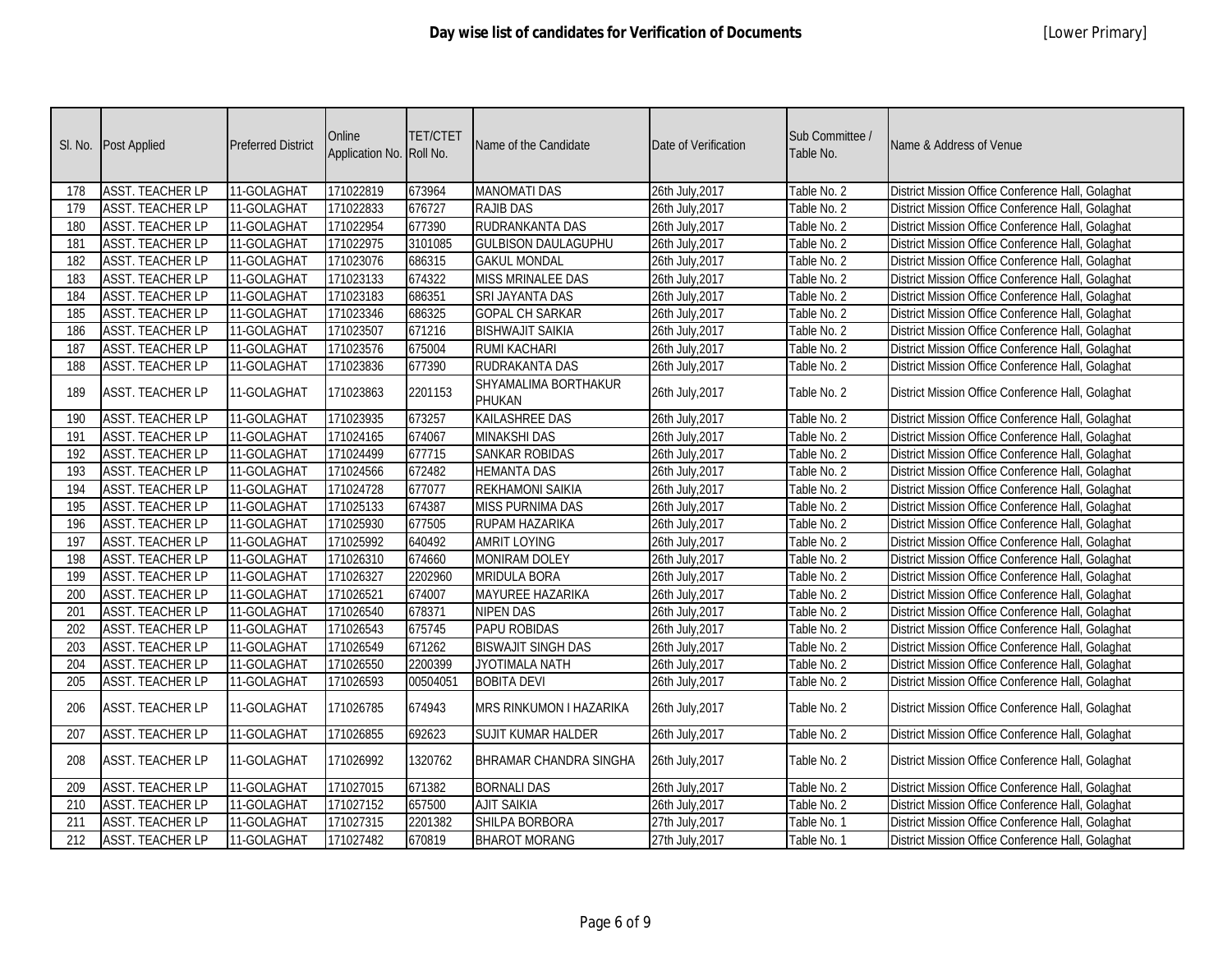| SI. No. | Post Applied            | <b>Preferred District</b> | Online<br>Application No. Roll No. | <b>TET/CTET</b> | Name of the Candidate          | Date of Verification | Sub Committee /<br>Table No. | Name & Address of Venue                           |
|---------|-------------------------|---------------------------|------------------------------------|-----------------|--------------------------------|----------------------|------------------------------|---------------------------------------------------|
| 178     | <b>ASST. TEACHER LP</b> | 11-GOLAGHAT               | 171022819                          | 673964          | <b>MANOMATI DAS</b>            | 26th July, 2017      | Table No. 2                  | District Mission Office Conference Hall, Golaghat |
| 179     | <b>ASST. TEACHER LP</b> | 11-GOLAGHAT               | 171022833                          | 676727          | <b>RAJIB DAS</b>               | 26th July, 2017      | Table No. 2                  | District Mission Office Conference Hall, Golaghat |
| 180     | <b>ASST. TEACHER LP</b> | 11-GOLAGHAT               | 171022954                          | 677390          | RUDRANKANTA DAS                | 26th July, 2017      | Table No. 2                  | District Mission Office Conference Hall, Golaghat |
| 181     | <b>ASST. TEACHER LP</b> | 11-GOLAGHAT               | 171022975                          | 3101085         | <b>GULBISON DAULAGUPHU</b>     | 26th July, 2017      | Table No. 2                  | District Mission Office Conference Hall, Golaghat |
| 182     | <b>ASST. TEACHER LP</b> | 11-GOLAGHAT               | 171023076                          | 686315          | <b>GAKUL MONDAL</b>            | 26th July, 2017      | Table No. 2                  | District Mission Office Conference Hall, Golaghat |
| 183     | <b>ASST. TEACHER LP</b> | 11-GOLAGHAT               | 171023133                          | 674322          | <b>MISS MRINALEE DAS</b>       | 26th July, 2017      | Table No. 2                  | District Mission Office Conference Hall, Golaghat |
| 184     | <b>ASST. TEACHER LP</b> | 11-GOLAGHAT               | 171023183                          | 686351          | SRI JAYANTA DAS                | 26th July, 2017      | Table No. 2                  | District Mission Office Conference Hall, Golaghat |
| 185     | <b>ASST. TEACHER LP</b> | 11-GOLAGHAT               | 171023346                          | 686325          | <b>GOPAL CH SARKAR</b>         | 26th July, 2017      | Table No. 2                  | District Mission Office Conference Hall, Golaghat |
| 186     | <b>ASST. TEACHER LP</b> | 11-GOLAGHAT               | 171023507                          | 671216          | <b>BISHWAJIT SAIKIA</b>        | 26th July, 2017      | Table No. 2                  | District Mission Office Conference Hall, Golaghat |
| 187     | <b>ASST. TEACHER LP</b> | 11-GOLAGHAT               | 171023576                          | 675004          | <b>RUMI KACHARI</b>            | 26th July, 2017      | Table No. 2                  | District Mission Office Conference Hall, Golaghat |
| 188     | <b>ASST. TEACHER LP</b> | 11-GOLAGHAT               | 171023836                          | 677390          | RUDRAKANTA DAS                 | 26th July, 2017      | Table No. 2                  | District Mission Office Conference Hall, Golaghat |
| 189     | <b>ASST. TEACHER LP</b> | 11-GOLAGHAT               | 171023863                          | 2201153         | SHYAMALIMA BORTHAKUR<br>PHUKAN | 26th July, 2017      | Table No. 2                  | District Mission Office Conference Hall, Golaghat |
| 190     | <b>ASST. TEACHER LP</b> | 11-GOLAGHAT               | 171023935                          | 673257          | <b>KAILASHREE DAS</b>          | 26th July, 2017      | Table No. 2                  | District Mission Office Conference Hall, Golaghat |
| 191     | <b>ASST. TEACHER LP</b> | 11-GOLAGHAT               | 171024165                          | 674067          | <b>MINAKSHI DAS</b>            | 26th July, 2017      | Table No. 2                  | District Mission Office Conference Hall, Golaghat |
| 192     | <b>ASST. TEACHER LP</b> | 11-GOLAGHAT               | 171024499                          | 677715          | <b>SANKAR ROBIDAS</b>          | 26th July, 2017      | Table No. 2                  | District Mission Office Conference Hall, Golaghat |
| 193     | <b>ASST. TEACHER LP</b> | 11-GOLAGHAT               | 171024566                          | 672482          | <b>HEMANTA DAS</b>             | 26th July, 2017      | Table No. 2                  | District Mission Office Conference Hall, Golaghat |
| 194     | <b>ASST. TEACHER LP</b> | 11-GOLAGHAT               | 171024728                          | 677077          | <b>REKHAMONI SAIKIA</b>        | 26th July, 2017      | Table No. 2                  | District Mission Office Conference Hall, Golaghat |
| 195     | <b>ASST. TEACHER LP</b> | 11-GOLAGHAT               | 171025133                          | 674387          | <b>MISS PURNIMA DAS</b>        | 26th July, 2017      | Table No. 2                  | District Mission Office Conference Hall, Golaghat |
| 196     | <b>ASST. TEACHER LP</b> | 11-GOLAGHAT               | 171025930                          | 677505          | RUPAM HAZARIKA                 | 26th July, 2017      | Table No. 2                  | District Mission Office Conference Hall, Golaghat |
| 197     | <b>ASST. TEACHER LP</b> | 11-GOLAGHAT               | 171025992                          | 640492          | <b>AMRIT LOYING</b>            | 26th July, 2017      | Table No. 2                  | District Mission Office Conference Hall, Golaghat |
| 198     | <b>ASST. TEACHER LP</b> | 11-GOLAGHAT               | 171026310                          | 674660          | <b>MONIRAM DOLEY</b>           | 26th July, 2017      | Table No. 2                  | District Mission Office Conference Hall, Golaghat |
| 199     | <b>ASST. TEACHER LP</b> | 11-GOLAGHAT               | 171026327                          | 2202960         | <b>MRIDULA BORA</b>            | 26th July, 2017      | Table No. 2                  | District Mission Office Conference Hall, Golaghat |
| 200     | <b>ASST. TEACHER LP</b> | 11-GOLAGHAT               | 171026521                          | 674007          | MAYUREE HAZARIKA               | 26th July, 2017      | Table No. 2                  | District Mission Office Conference Hall, Golaghat |
| 201     | <b>ASST. TEACHER LP</b> | 11-GOLAGHAT               | 171026540                          | 678371          | <b>NIPEN DAS</b>               | 26th July, 2017      | Table No. 2                  | District Mission Office Conference Hall, Golaghat |
| 202     | <b>ASST. TEACHER LP</b> | 11-GOLAGHAT               | 171026543                          | 675745          | <b>PAPU ROBIDAS</b>            | 26th July, 2017      | Table No. 2                  | District Mission Office Conference Hall, Golaghat |
| 203     | <b>ASST. TEACHER LP</b> | 11-GOLAGHAT               | 171026549                          | 671262          | <b>BISWAJIT SINGH DAS</b>      | 26th July, 2017      | Table No. 2                  | District Mission Office Conference Hall, Golaghat |
| 204     | <b>ASST. TEACHER LP</b> | 11-GOLAGHAT               | 171026550                          | 2200399         | <b>JYOTIMALA NATH</b>          | 26th July, 2017      | Table No. 2                  | District Mission Office Conference Hall, Golaghat |
| 205     | <b>ASST. TEACHER LP</b> | 11-GOLAGHAT               | 171026593                          | 00504051        | <b>BOBITA DEVI</b>             | 26th July, 2017      | Table No. 2                  | District Mission Office Conference Hall, Golaghat |
| 206     | <b>ASST. TEACHER LP</b> | 11-GOLAGHAT               | 171026785                          | 674943          | MRS RINKUMON I HAZARIKA        | 26th July, 2017      | Table No. 2                  | District Mission Office Conference Hall, Golaghat |
| 207     | <b>ASST. TEACHER LP</b> | 11-GOLAGHAT               | 171026855                          | 692623          | <b>SUJIT KUMAR HALDER</b>      | 26th July, 2017      | Table No. 2                  | District Mission Office Conference Hall, Golaghat |
| 208     | <b>ASST. TEACHER LP</b> | 11-GOLAGHAT               | 171026992                          | 1320762         | BHRAMAR CHANDRA SINGHA         | 26th July, 2017      | Table No. 2                  | District Mission Office Conference Hall, Golaghat |
| 209     | <b>ASST. TEACHER LP</b> | 11-GOLAGHAT               | 171027015                          | 671382          | <b>BORNALI DAS</b>             | 26th July, 2017      | Table No. 2                  | District Mission Office Conference Hall, Golaghat |
| 210     | <b>ASST. TEACHER LP</b> | 11-GOLAGHAT               | 171027152                          | 657500          | <b>AJIT SAIKIA</b>             | 26th July, 2017      | Table No. 2                  | District Mission Office Conference Hall, Golaghat |
| 211     | <b>ASST. TEACHER LP</b> | 11-GOLAGHAT               | 171027315                          | 2201382         | SHILPA BORBORA                 | 27th July, 2017      | Table No. 1                  | District Mission Office Conference Hall, Golaghat |
| 212     | <b>ASST. TEACHER LP</b> | 11-GOLAGHAT               | 171027482                          | 670819          | <b>BHAROT MORANG</b>           | 27th July, 2017      | Table No. 1                  | District Mission Office Conference Hall, Golaghat |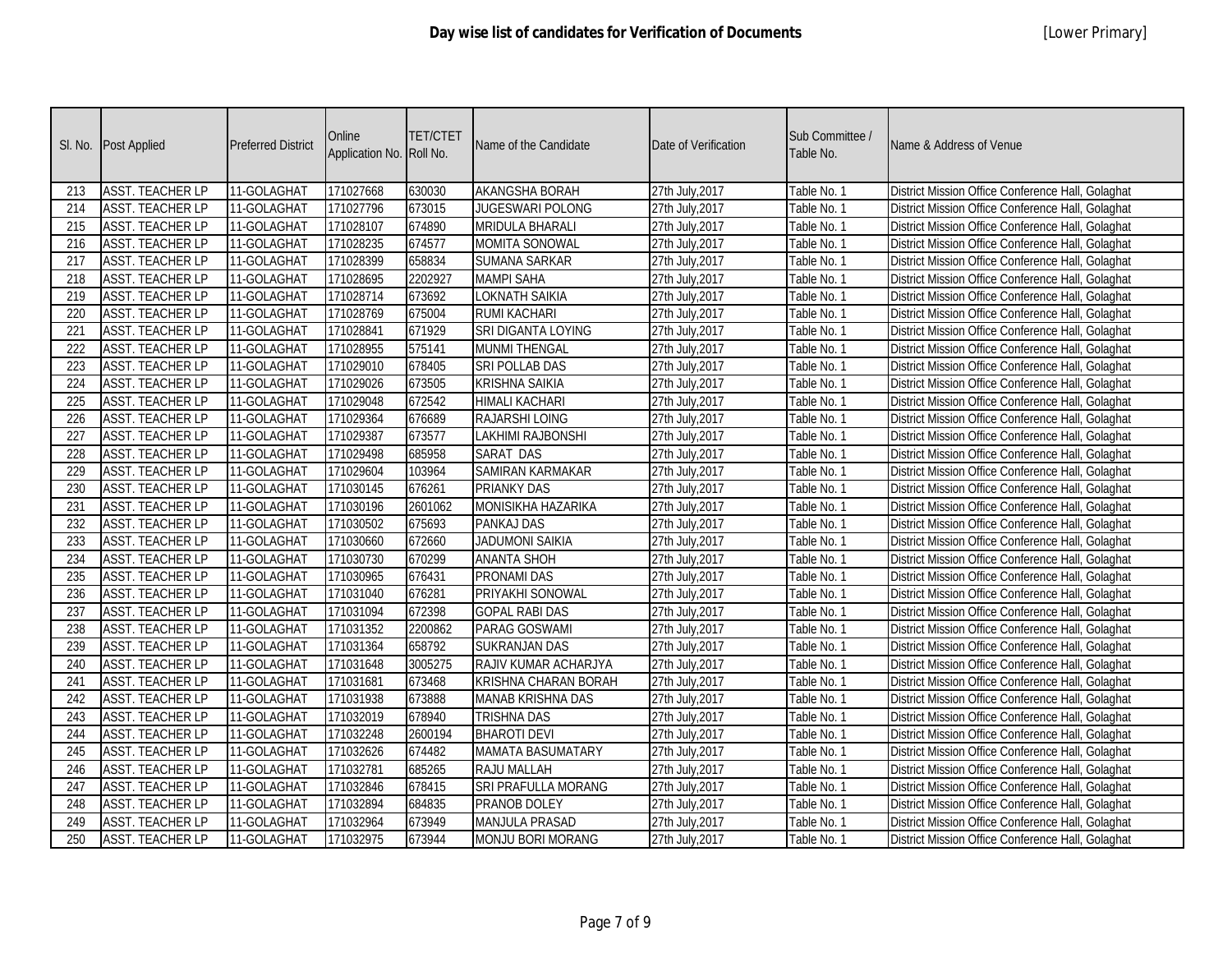| SI. No. | <b>Post Applied</b>     | Preferred District | Online<br>Application No. Roll No. | <b>TET/CTET</b> | Name of the Candidate       | Date of Verification | Sub Committee /<br>Table No. | Name & Address of Venue                           |
|---------|-------------------------|--------------------|------------------------------------|-----------------|-----------------------------|----------------------|------------------------------|---------------------------------------------------|
| 213     | <b>ASST. TEACHER LP</b> | 11-GOLAGHAT        | 171027668                          | 630030          | <b>AKANGSHA BORAH</b>       | 27th July, 2017      | Table No.                    | District Mission Office Conference Hall, Golaghat |
| 214     | <b>ASST. TEACHER LP</b> | 11-GOLAGHAT        | 171027796                          | 673015          | <b>JUGESWARI POLONG</b>     | 27th July, 2017      | Table No.                    | District Mission Office Conference Hall, Golaghat |
| 215     | <b>ASST. TEACHER LP</b> | 11-GOLAGHAT        | 171028107                          | 674890          | MRIDULA BHARALI             | 27th July, 2017      | Table No. 1                  | District Mission Office Conference Hall, Golaghat |
| 216     | <b>ASST. TEACHER LP</b> | 11-GOLAGHAT        | 171028235                          | 674577          | MOMITA SONOWAL              | 27th July, 2017      | Table No.                    | District Mission Office Conference Hall, Golaghat |
| 217     | <b>ASST. TEACHER LP</b> | 11-GOLAGHAT        | 171028399                          | 658834          | <b>SUMANA SARKAR</b>        | 27th July, 2017      | Table No. 1                  | District Mission Office Conference Hall, Golaghat |
| 218     | <b>ASST. TEACHER LP</b> | 11-GOLAGHAT        | 171028695                          | 2202927         | <b>MAMPI SAHA</b>           | 27th July, 2017      | Table No.                    | District Mission Office Conference Hall, Golaghat |
| 219     | <b>ASST. TEACHER LP</b> | 11-GOLAGHAT        | 171028714                          | 673692          | LOKNATH SAIKIA              | 27th July, 2017      | Table No. 1                  | District Mission Office Conference Hall, Golaghat |
| 220     | <b>ASST. TEACHER LP</b> | 11-GOLAGHAT        | 171028769                          | 675004          | <b>RUMI KACHARI</b>         | 27th July, 2017      | Table No.                    | District Mission Office Conference Hall, Golaghat |
| 221     | <b>ASST. TEACHER LP</b> | 11-GOLAGHAT        | 171028841                          | 671929          | SRI DIGANTA LOYING          | 27th July, 2017      | Table No. 1                  | District Mission Office Conference Hall, Golaghat |
| 222     | <b>ASST. TEACHER LP</b> | 11-GOLAGHAT        | 171028955                          | 575141          | <b>MUNMI THENGAL</b>        | 27th July, 2017      | Table No.                    | District Mission Office Conference Hall, Golaghat |
| 223     | <b>ASST. TEACHER LP</b> | 11-GOLAGHAT        | 171029010                          | 678405          | <b>SRI POLLAB DAS</b>       | 27th July, 2017      | Table No. 1                  | District Mission Office Conference Hall, Golaghat |
| 224     | <b>ASST. TEACHER LP</b> | 11-GOLAGHAT        | 171029026                          | 673505          | <b>KRISHNA SAIKIA</b>       | 27th July, 2017      | Table No.                    | District Mission Office Conference Hall, Golaghat |
| 225     | <b>ASST. TEACHER LP</b> | 11-GOLAGHAT        | 171029048                          | 672542          | <b>HIMALI KACHARI</b>       | 27th July, 2017      | Table No. 1                  | District Mission Office Conference Hall, Golaghat |
| 226     | <b>ASST. TEACHER LP</b> | 11-GOLAGHAT        | 171029364                          | 676689          | RAJARSHI LOING              | 27th July, 2017      | Table No.                    | District Mission Office Conference Hall, Golaghat |
| 227     | <b>ASST. TEACHER LP</b> | 11-GOLAGHAT        | 171029387                          | 673577          | <b>LAKHIMI RAJBONSHI</b>    | 27th July, 2017      | Table No. 1                  | District Mission Office Conference Hall, Golaghat |
| 228     | <b>ASST. TEACHER LP</b> | 11-GOLAGHAT        | 171029498                          | 685958          | SARAT DAS                   | 27th July, 2017      | Table No.                    | District Mission Office Conference Hall, Golaghat |
| 229     | <b>ASST. TEACHER LP</b> | 11-GOLAGHAT        | 171029604                          | 103964          | SAMIRAN KARMAKAR            | 27th July, 2017      | Table No. 1                  | District Mission Office Conference Hall, Golaghat |
| 230     | <b>ASST. TEACHER LP</b> | 11-GOLAGHAT        | 171030145                          | 676261          | PRIANKY DAS                 | 27th July, 2017      | Table No.                    | District Mission Office Conference Hall, Golaghat |
| 231     | <b>ASST. TEACHER LP</b> | 11-GOLAGHAT        | 171030196                          | 2601062         | MONISIKHA HAZARIKA          | 27th July, 2017      | Table No. 1                  | District Mission Office Conference Hall, Golaghat |
| 232     | <b>ASST. TEACHER LP</b> | 11-GOLAGHAT        | 171030502                          | 675693          | PANKAJ DAS                  | 27th July, 2017      | Table No.                    | District Mission Office Conference Hall, Golaghat |
| 233     | <b>ASST. TEACHER LP</b> | 11-GOLAGHAT        | 171030660                          | 672660          | <b>JADUMONI SAIKIA</b>      | 27th July, 2017      | Table No. 1                  | District Mission Office Conference Hall, Golaghat |
| 234     | <b>ASST. TEACHER LP</b> | 11-GOLAGHAT        | 171030730                          | 670299          | <b>ANANTA SHOH</b>          | 27th July, 2017      | Table No.                    | District Mission Office Conference Hall, Golaghat |
| 235     | <b>ASST. TEACHER LP</b> | 11-GOLAGHAT        | 171030965                          | 676431          | <b>PRONAMI DAS</b>          | 27th July, 2017      | Table No. 1                  | District Mission Office Conference Hall, Golaghat |
| 236     | <b>ASST. TEACHER LP</b> | 11-GOLAGHAT        | 171031040                          | 676281          | PRIYAKHI SONOWAL            | 27th July, 2017      | Table No.                    | District Mission Office Conference Hall, Golaghat |
| 237     | <b>ASST. TEACHER LP</b> | 11-GOLAGHAT        | 171031094                          | 672398          | <b>GOPAL RABI DAS</b>       | 27th July, 2017      | Table No. 1                  | District Mission Office Conference Hall, Golaghat |
| 238     | <b>ASST. TEACHER LP</b> | 11-GOLAGHAT        | 171031352                          | 2200862         | <b>PARAG GOSWAMI</b>        | 27th July, 2017      | Table No.                    | District Mission Office Conference Hall, Golaghat |
| 239     | <b>ASST. TEACHER LP</b> | 11-GOLAGHAT        | 171031364                          | 658792          | <b>SUKRANJAN DAS</b>        | 27th July, 2017      | Table No. 1                  | District Mission Office Conference Hall, Golaghat |
| 240     | <b>ASST. TEACHER LP</b> | 11-GOLAGHAT        | 171031648                          | 3005275         | RAJIV KUMAR ACHARJYA        | 27th July, 2017      | Table No.                    | District Mission Office Conference Hall, Golaghat |
| 241     | <b>ASST. TEACHER LP</b> | 11-GOLAGHAT        | 171031681                          | 673468          | <b>KRISHNA CHARAN BORAH</b> | 27th July, 2017      | Table No.                    | District Mission Office Conference Hall, Golaghat |
| 242     | <b>ASST. TEACHER LP</b> | 11-GOLAGHAT        | 171031938                          | 673888          | <b>MANAB KRISHNA DAS</b>    | 27th July, 2017      | Table No.                    | District Mission Office Conference Hall, Golaghat |
| 243     | <b>ASST. TEACHER LP</b> | 11-GOLAGHAT        | 171032019                          | 678940          | <b>TRISHNA DAS</b>          | 27th July, 2017      | Table No. 1                  | District Mission Office Conference Hall, Golaghat |
| 244     | <b>ASST. TEACHER LP</b> | 11-GOLAGHAT        | 171032248                          | 2600194         | <b>BHAROTI DEVI</b>         | 27th July, 2017      | Table No.                    | District Mission Office Conference Hall, Golaghat |
| 245     | <b>ASST. TEACHER LP</b> | 11-GOLAGHAT        | 171032626                          | 674482          | <b>MAMATA BASUMATARY</b>    | 27th July, 2017      | Table No. 1                  | District Mission Office Conference Hall, Golaghat |
| 246     | <b>ASST. TEACHER LP</b> | 11-GOLAGHAT        | 171032781                          | 685265          | <b>RAJU MALLAH</b>          | 27th July, 2017      | Table No.                    | District Mission Office Conference Hall, Golaghat |
| 247     | <b>ASST. TEACHER LP</b> | 11-GOLAGHAT        | 171032846                          | 678415          | SRI PRAFULLA MORANG         | 27th July, 2017      | Table No. 1                  | District Mission Office Conference Hall, Golaghat |
| 248     | <b>ASST. TEACHER LP</b> | 11-GOLAGHAT        | 171032894                          | 684835          | PRANOB DOLEY                | 27th July, 2017      | Table No.                    | District Mission Office Conference Hall, Golaghat |
| 249     | <b>ASST. TEACHER LP</b> | 11-GOLAGHAT        | 171032964                          | 673949          | <b>MANJULA PRASAD</b>       | 27th July, 2017      | Table No.                    | District Mission Office Conference Hall, Golaghat |
| 250     | <b>ASST. TEACHER LP</b> | 11-GOLAGHAT        | 171032975                          | 673944          | <b>MONJU BORI MORANG</b>    | 27th July, 2017      | Table No.                    | District Mission Office Conference Hall, Golaghat |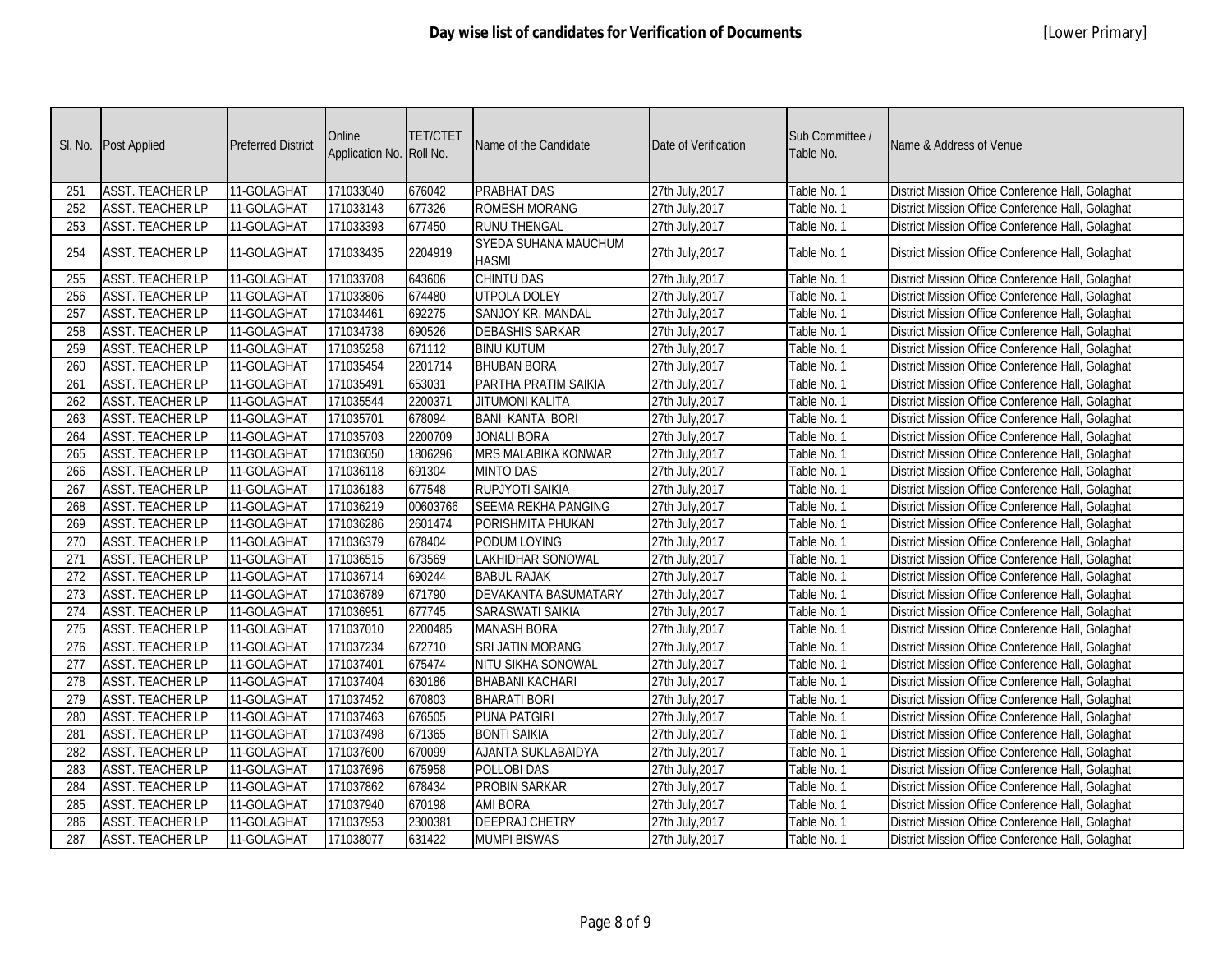| SI. No.          | Post Applied            | <b>Preferred District</b> | Online<br>Application No. Roll No. | TET/CTET | Name of the Candidate                | Date of Verification | Sub Committee /<br>Table No. | Name & Address of Venue                           |
|------------------|-------------------------|---------------------------|------------------------------------|----------|--------------------------------------|----------------------|------------------------------|---------------------------------------------------|
| 251              | <b>ASST. TEACHER LP</b> | 11-GOLAGHAT               | 171033040                          | 676042   | <b>PRABHAT DAS</b>                   | 27th July, 2017      | Table No.                    | District Mission Office Conference Hall, Golaghat |
| 252              | <b>ASST. TEACHER LP</b> | 11-GOLAGHAT               | 171033143                          | 677326   | <b>ROMESH MORANG</b>                 | 27th July, 2017      | Table No.                    | District Mission Office Conference Hall, Golaghat |
| 253              | <b>ASST. TEACHER LP</b> | 11-GOLAGHAT               | 171033393                          | 677450   | <b>RUNU THENGAL</b>                  | 27th July, 2017      | Table No. 1                  | District Mission Office Conference Hall, Golaghat |
| 254              | <b>ASST. TEACHER LP</b> | 11-GOLAGHAT               | 171033435                          | 2204919  | SYEDA SUHANA MAUCHUM<br><b>HASMI</b> | 27th July, 2017      | Table No. 1                  | District Mission Office Conference Hall, Golaghat |
| 255              | <b>ASST. TEACHER LP</b> | 11-GOLAGHAT               | 171033708                          | 643606   | <b>CHINTU DAS</b>                    | 27th July, 2017      | Table No.                    | District Mission Office Conference Hall, Golaghat |
| 256              | <b>ASST. TEACHER LP</b> | 11-GOLAGHAT               | 171033806                          | 674480   | <b>UTPOLA DOLEY</b>                  | 27th July, 2017      | Table No. 1                  | District Mission Office Conference Hall, Golaghat |
| 257              | <b>ASST. TEACHER LP</b> | 11-GOLAGHAT               | 171034461                          | 692275   | SANJOY KR. MANDAL                    | 27th July, 2017      | Table No.                    | District Mission Office Conference Hall, Golaghat |
| 258              | <b>ASST. TEACHER LP</b> | 11-GOLAGHAT               | 171034738                          | 690526   | <b>DEBASHIS SARKAR</b>               | 27th July, 2017      | Table No.                    | District Mission Office Conference Hall, Golaghat |
| 259              | <b>ASST. TEACHER LP</b> | 11-GOLAGHAT               | 171035258                          | 671112   | <b>BINU KUTUM</b>                    | 27th July, 2017      | Table No.                    | District Mission Office Conference Hall, Golaghat |
| 260              | <b>ASST. TEACHER LP</b> | 11-GOLAGHAT               | 171035454                          | 2201714  | <b>BHUBAN BORA</b>                   | 27th July, 2017      | Table No. 1                  | District Mission Office Conference Hall, Golaghat |
| 261              | <b>ASST. TEACHER LP</b> | 11-GOLAGHAT               | 171035491                          | 653031   | PARTHA PRATIM SAIKIA                 | 27th July, 2017      | Table No.                    | District Mission Office Conference Hall, Golaghat |
| 262              | <b>ASST. TEACHER LP</b> | 11-GOLAGHAT               | 171035544                          | 2200371  | <b>JITUMONI KALITA</b>               | 27th July, 2017      | Table No. 1                  | District Mission Office Conference Hall, Golaghat |
| 263              | <b>ASST. TEACHER LP</b> | 11-GOLAGHAT               | 171035701                          | 678094   | <b>BANI KANTA BORI</b>               | 27th July, 2017      | Table No.                    | District Mission Office Conference Hall, Golaghat |
| 264              | <b>ASST. TEACHER LP</b> | 11-GOLAGHAT               | 171035703                          | 2200709  | <b>JONALI BORA</b>                   | 27th July, 2017      | Table No. 1                  | District Mission Office Conference Hall, Golaghat |
| 265              | <b>ASST. TEACHER LP</b> | 11-GOLAGHAT               | 171036050                          | 1806296  | MRS MALABIKA KONWAR                  | 27th July, 2017      | Table No.                    | District Mission Office Conference Hall, Golaghat |
| 266              | <b>ASST. TEACHER LP</b> | 11-GOLAGHAT               | 171036118                          | 691304   | <b>MINTO DAS</b>                     | 27th July, 2017      | Table No.                    | District Mission Office Conference Hall, Golaghat |
| $\overline{267}$ | <b>ASST. TEACHER LP</b> | 11-GOLAGHAT               | 171036183                          | 677548   | <b>RUPJYOTI SAIKIA</b>               | 27th July, 2017      | Table No.                    | District Mission Office Conference Hall, Golaghat |
| 268              | <b>ASST. TEACHER LP</b> | 11-GOLAGHAT               | 171036219                          | 00603766 | <b>SEEMA REKHA PANGING</b>           | 27th July, 2017      | Table No.                    | District Mission Office Conference Hall, Golaghat |
| 269              | <b>ASST. TEACHER LP</b> | 11-GOLAGHAT               | 171036286                          | 2601474  | PORISHMITA PHUKAN                    | 27th July, 2017      | Table No.                    | District Mission Office Conference Hall, Golaghat |
| 270              | <b>ASST. TEACHER LP</b> | 11-GOLAGHAT               | 171036379                          | 678404   | PODUM LOYING                         | 27th July, 2017      | Table No.                    | District Mission Office Conference Hall, Golaghat |
| 271              | <b>ASST. TEACHER LP</b> | 11-GOLAGHAT               | 171036515                          | 673569   | <b>LAKHIDHAR SONOWAL</b>             | 27th July, 2017      | Table No.                    | District Mission Office Conference Hall, Golaghat |
| 272              | <b>ASST. TEACHER LP</b> | 11-GOLAGHAT               | 171036714                          | 690244   | <b>BABUL RAJAK</b>                   | 27th July, 2017      | Table No. 1                  | District Mission Office Conference Hall, Golaghat |
| 273              | <b>ASST. TEACHER LP</b> | 11-GOLAGHAT               | 171036789                          | 671790   | <b>DEVAKANTA BASUMATARY</b>          | 27th July, 2017      | Table No.                    | District Mission Office Conference Hall, Golaghat |
| 274              | <b>ASST. TEACHER LP</b> | 11-GOLAGHAT               | 171036951                          | 677745   | <b>SARASWATI SAIKIA</b>              | 27th July, 2017      | Table No. 1                  | District Mission Office Conference Hall, Golaghat |
| 275              | <b>ASST. TEACHER LP</b> | 11-GOLAGHAT               | 171037010                          | 2200485  | <b>MANASH BORA</b>                   | 27th July, 2017      | Table No. 1                  | District Mission Office Conference Hall, Golaghat |
| 276              | <b>ASST. TEACHER LP</b> | 11-GOLAGHAT               | 171037234                          | 672710   | <b>SRI JATIN MORANG</b>              | 27th July, 2017      | Table No. 1                  | District Mission Office Conference Hall, Golaghat |
| 277              | <b>ASST. TEACHER LP</b> | 11-GOLAGHAT               | 171037401                          | 675474   | NITU SIKHA SONOWAL                   | 27th July, 2017      | Table No. 1                  | District Mission Office Conference Hall, Golaghat |
| 278              | <b>ASST. TEACHER LP</b> | 11-GOLAGHAT               | 171037404                          | 630186   | <b>BHABANI KACHARI</b>               | 27th July, 2017      | Table No. 1                  | District Mission Office Conference Hall, Golaghat |
| 279              | <b>ASST. TEACHER LP</b> | 11-GOLAGHAT               | 171037452                          | 670803   | <b>BHARATI BORI</b>                  | 27th July, 2017      | Table No. 1                  | District Mission Office Conference Hall, Golaghat |
| 280              | <b>ASST. TEACHER LP</b> | 11-GOLAGHAT               | 171037463                          | 676505   | <b>PUNA PATGIRI</b>                  | 27th July, 2017      | Table No. 1                  | District Mission Office Conference Hall, Golaghat |
| 281              | <b>ASST. TEACHER LP</b> | 11-GOLAGHAT               | 171037498                          | 671365   | <b>BONTI SAIKIA</b>                  | 27th July, 2017      | Table No. 1                  | District Mission Office Conference Hall, Golaghat |
| 282              | <b>ASST. TEACHER LP</b> | 11-GOLAGHAT               | 171037600                          | 670099   | AJANTA SUKLABAIDYA                   | 27th July, 2017      | Table No. 1                  | District Mission Office Conference Hall, Golaghat |
| 283              | <b>ASST. TEACHER LP</b> | 11-GOLAGHAT               | 171037696                          | 675958   | POLLOBI DAS                          | 27th July, 2017      | Table No. 1                  | District Mission Office Conference Hall, Golaghat |
| 284              | <b>ASST. TEACHER LP</b> | 11-GOLAGHAT               | 171037862                          | 678434   | <b>PROBIN SARKAR</b>                 | 27th July, 2017      | Table No. 1                  | District Mission Office Conference Hall, Golaghat |
| 285              | <b>ASST. TEACHER LP</b> | 11-GOLAGHAT               | 171037940                          | 670198   | <b>AMI BORA</b>                      | 27th July, 2017      | Table No. 1                  | District Mission Office Conference Hall, Golaghat |
| 286              | <b>ASST. TEACHER LP</b> | 11-GOLAGHAT               | 171037953                          | 2300381  | <b>DEEPRAJ CHETRY</b>                | 27th July, 2017      | Table No. 1                  | District Mission Office Conference Hall, Golaghat |
| 287              | <b>ASST. TEACHER LP</b> | 11-GOLAGHAT               | 171038077                          | 631422   | <b>MUMPI BISWAS</b>                  | 27th July, 2017      | Table No. 1                  | District Mission Office Conference Hall, Golaghat |